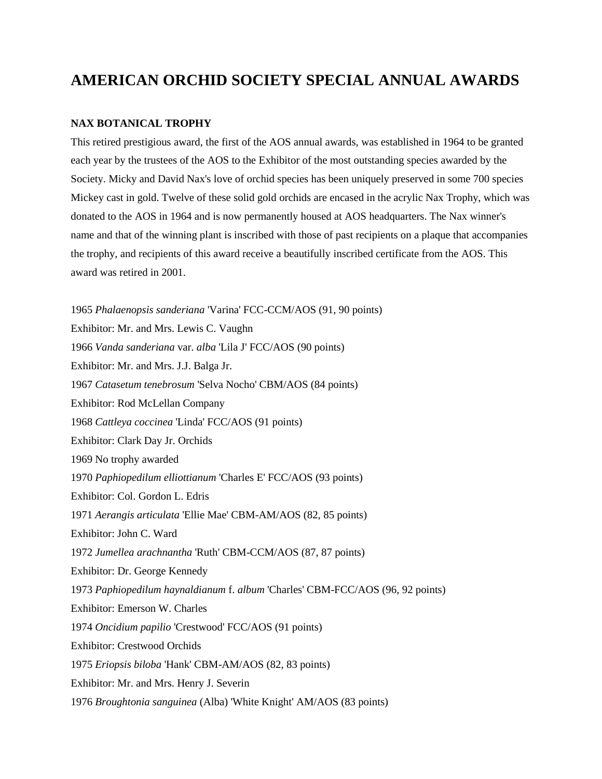# **AMERICAN ORCHID SOCIETY SPECIAL ANNUAL AWARDS**

#### **NAX BOTANICAL TROPHY**

This retired prestigious award, the first of the AOS annual awards, was established in 1964 to be granted each year by the trustees of the AOS to the Exhibitor of the most outstanding species awarded by the Society. Micky and David Nax's love of orchid species has been uniquely preserved in some 700 species Mickey cast in gold. Twelve of these solid gold orchids are encased in the acrylic Nax Trophy, which was donated to the AOS in 1964 and is now permanently housed at AOS headquarters. The Nax winner's name and that of the winning plant is inscribed with those of past recipients on a plaque that accompanies the trophy, and recipients of this award receive a beautifully inscribed certificate from the AOS. This award was retired in 2001.

1965 *Phalaenopsis sanderiana* 'Varina' FCC-CCM/AOS (91, 90 points) Exhibitor: Mr. and Mrs. Lewis C. Vaughn 1966 *Vanda sanderiana* var. *alba* 'Lila J' FCC/AOS (90 points) Exhibitor: Mr. and Mrs. J.J. Balga Jr. 1967 *Catasetum tenebrosum* 'Selva Nocho' CBM/AOS (84 points) Exhibitor: Rod McLellan Company 1968 *Cattleya coccinea* 'Linda' FCC/AOS (91 points) Exhibitor: Clark Day Jr. Orchids 1969 No trophy awarded 1970 *Paphiopedilum elliottianum* 'Charles E' FCC/AOS (93 points) Exhibitor: Col. Gordon L. Edris 1971 *Aerangis articulata* 'Ellie Mae' CBM-AM/AOS (82, 85 points) Exhibitor: John C. Ward 1972 *Jumellea arachnantha* 'Ruth' CBM-CCM/AOS (87, 87 points) Exhibitor: Dr. George Kennedy 1973 *Paphiopedilum haynaldianum* f. *album* 'Charles' CBM-FCC/AOS (96, 92 points) Exhibitor: Emerson W. Charles 1974 *Oncidium papilio* 'Crestwood' FCC/AOS (91 points) Exhibitor: Crestwood Orchids 1975 *Eriopsis biloba* 'Hank' CBM-AM/AOS (82, 83 points) Exhibitor: Mr. and Mrs. Henry J. Severin 1976 *Broughtonia sanguinea* (Alba) 'White Knight' AM/AOS (83 points)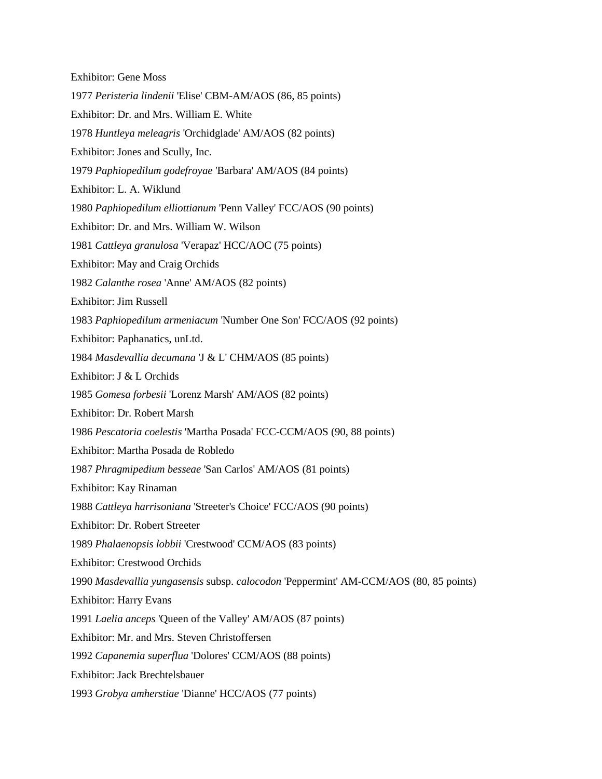| <b>Exhibitor: Gene Moss</b>                                                           |
|---------------------------------------------------------------------------------------|
| 1977 Peristeria lindenii 'Elise' CBM-AM/AOS (86, 85 points)                           |
| Exhibitor: Dr. and Mrs. William E. White                                              |
| 1978 Huntleya meleagris 'Orchidglade' AM/AOS (82 points)                              |
| Exhibitor: Jones and Scully, Inc.                                                     |
| 1979 Paphiopedilum godefroyae 'Barbara' AM/AOS (84 points)                            |
| Exhibitor: L. A. Wiklund                                                              |
| 1980 Paphiopedilum elliottianum 'Penn Valley' FCC/AOS (90 points)                     |
| Exhibitor: Dr. and Mrs. William W. Wilson                                             |
| 1981 Cattleya granulosa 'Verapaz' HCC/AOC (75 points)                                 |
| Exhibitor: May and Craig Orchids                                                      |
| 1982 Calanthe rosea 'Anne' AM/AOS (82 points)                                         |
| Exhibitor: Jim Russell                                                                |
| 1983 Paphiopedilum armeniacum 'Number One Son' FCC/AOS (92 points)                    |
| Exhibitor: Paphanatics, unLtd.                                                        |
| 1984 Masdevallia decumana 'J & L' CHM/AOS (85 points)                                 |
| Exhibitor: J & L Orchids                                                              |
| 1985 Gomesa forbesii 'Lorenz Marsh' AM/AOS (82 points)                                |
| Exhibitor: Dr. Robert Marsh                                                           |
| 1986 Pescatoria coelestis 'Martha Posada' FCC-CCM/AOS (90, 88 points)                 |
| Exhibitor: Martha Posada de Robledo                                                   |
| 1987 Phragmipedium besseae 'San Carlos' AM/AOS (81 points)                            |
| Exhibitor: Kay Rinaman                                                                |
| 1988 Cattleya harrisoniana 'Streeter's Choice' FCC/AOS (90 points)                    |
| Exhibitor: Dr. Robert Streeter                                                        |
| 1989 Phalaenopsis lobbii 'Crestwood' CCM/AOS (83 points)                              |
| <b>Exhibitor: Crestwood Orchids</b>                                                   |
| 1990 Masdevallia yungasensis subsp. calocodon 'Peppermint' AM-CCM/AOS (80, 85 points) |
| <b>Exhibitor: Harry Evans</b>                                                         |
| 1991 Laelia anceps 'Queen of the Valley' AM/AOS (87 points)                           |
| Exhibitor: Mr. and Mrs. Steven Christoffersen                                         |
| 1992 Capanemia superflua 'Dolores' CCM/AOS (88 points)                                |
| <b>Exhibitor: Jack Brechtelsbauer</b>                                                 |
| 1993 Grobya amherstiae 'Dianne' HCC/AOS (77 points)                                   |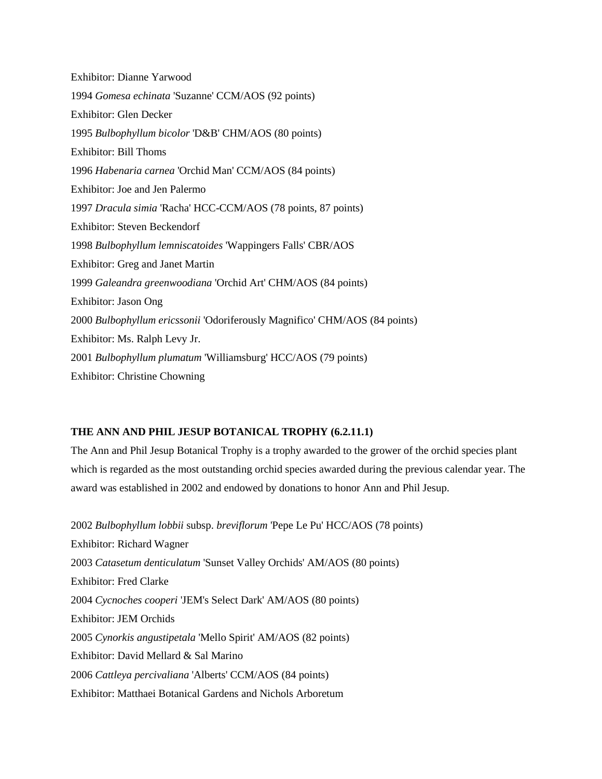Exhibitor: Dianne Yarwood 1994 *Gomesa echinata* 'Suzanne' CCM/AOS (92 points) Exhibitor: Glen Decker 1995 *Bulbophyllum bicolor* 'D&B' CHM/AOS (80 points) Exhibitor: Bill Thoms 1996 *Habenaria carnea* 'Orchid Man' CCM/AOS (84 points) Exhibitor: Joe and Jen Palermo 1997 *Dracula simia* 'Racha' HCC-CCM/AOS (78 points, 87 points) Exhibitor: Steven Beckendorf 1998 *Bulbophyllum lemniscatoides* 'Wappingers Falls' CBR/AOS Exhibitor: Greg and Janet Martin 1999 *Galeandra greenwoodiana* 'Orchid Art' CHM/AOS (84 points) Exhibitor: Jason Ong 2000 *Bulbophyllum ericssonii* 'Odoriferously Magnifico' CHM/AOS (84 points) Exhibitor: Ms. Ralph Levy Jr. 2001 *Bulbophyllum plumatum* 'Williamsburg' HCC/AOS (79 points) Exhibitor: Christine Chowning

#### **THE ANN AND PHIL JESUP BOTANICAL TROPHY (6.2.11.1)**

The Ann and Phil Jesup Botanical Trophy is a trophy awarded to the grower of the orchid species plant which is regarded as the most outstanding orchid species awarded during the previous calendar year. The award was established in 2002 and endowed by donations to honor Ann and Phil Jesup.

2002 *Bulbophyllum lobbii* subsp. *breviflorum* 'Pepe Le Pu' HCC/AOS (78 points) Exhibitor: Richard Wagner 2003 *Catasetum denticulatum* 'Sunset Valley Orchids' AM/AOS (80 points) Exhibitor: Fred Clarke 2004 *Cycnoches cooperi* 'JEM's Select Dark' AM/AOS (80 points) Exhibitor: JEM Orchids 2005 *Cynorkis angustipetala* 'Mello Spirit' AM/AOS (82 points) Exhibitor: David Mellard & Sal Marino 2006 *Cattleya percivaliana* 'Alberts' CCM/AOS (84 points) Exhibitor: Matthaei Botanical Gardens and Nichols Arboretum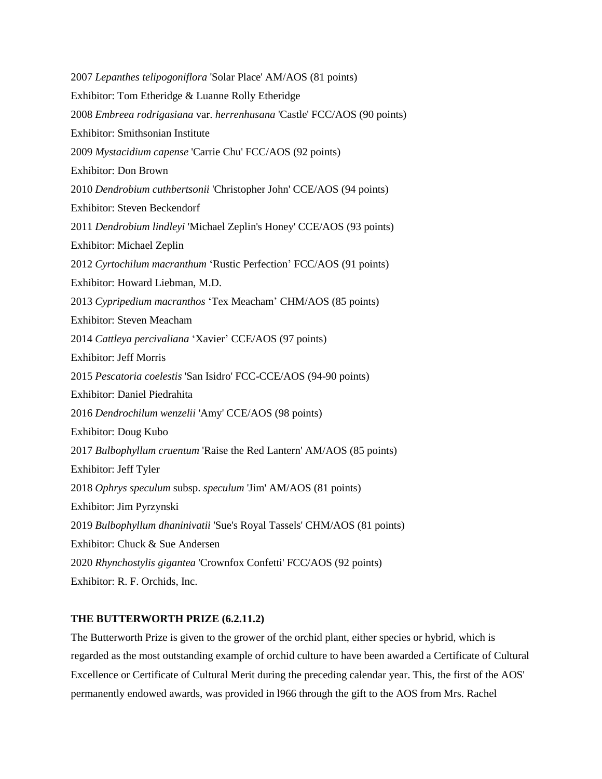| 2007 Lepanthes telipogoniflora 'Solar Place' AM/AOS (81 points)          |
|--------------------------------------------------------------------------|
| Exhibitor: Tom Etheridge & Luanne Rolly Etheridge                        |
| 2008 Embreea rodrigasiana var. herrenhusana 'Castle' FCC/AOS (90 points) |
| Exhibitor: Smithsonian Institute                                         |
| 2009 Mystacidium capense 'Carrie Chu' FCC/AOS (92 points)                |
| <b>Exhibitor: Don Brown</b>                                              |
| 2010 Dendrobium cuthbertsonii 'Christopher John' CCE/AOS (94 points)     |
| <b>Exhibitor: Steven Beckendorf</b>                                      |
| 2011 Dendrobium lindleyi 'Michael Zeplin's Honey' CCE/AOS (93 points)    |
| Exhibitor: Michael Zeplin                                                |
| 2012 Cyrtochilum macranthum 'Rustic Perfection' FCC/AOS (91 points)      |
| Exhibitor: Howard Liebman, M.D.                                          |
| 2013 Cypripedium macranthos 'Tex Meacham' CHM/AOS (85 points)            |
| <b>Exhibitor: Steven Meacham</b>                                         |
| 2014 Cattleya percivaliana 'Xavier' CCE/AOS (97 points)                  |
| <b>Exhibitor: Jeff Morris</b>                                            |
| 2015 Pescatoria coelestis 'San Isidro' FCC-CCE/AOS (94-90 points)        |
| Exhibitor: Daniel Piedrahita                                             |
| 2016 Dendrochilum wenzelii 'Amy' CCE/AOS (98 points)                     |
| <b>Exhibitor: Doug Kubo</b>                                              |
| 2017 Bulbophyllum cruentum 'Raise the Red Lantern' AM/AOS (85 points)    |
| Exhibitor: Jeff Tyler                                                    |
| 2018 Ophrys speculum subsp. speculum 'Jim' AM/AOS (81 points)            |
| Exhibitor: Jim Pyrzynski                                                 |
| 2019 Bulbophyllum dhaninivatii 'Sue's Royal Tassels' CHM/AOS (81 points) |
| Exhibitor: Chuck & Sue Andersen                                          |
| 2020 Rhynchostylis gigantea 'Crownfox Confetti' FCC/AOS (92 points)      |
| Exhibitor: R. F. Orchids, Inc.                                           |
|                                                                          |

## **THE BUTTERWORTH PRIZE (6.2.11.2)**

The Butterworth Prize is given to the grower of the orchid plant, either species or hybrid, which is regarded as the most outstanding example of orchid culture to have been awarded a Certificate of Cultural Excellence or Certificate of Cultural Merit during the preceding calendar year. This, the first of the AOS' permanently endowed awards, was provided in l966 through the gift to the AOS from Mrs. Rachel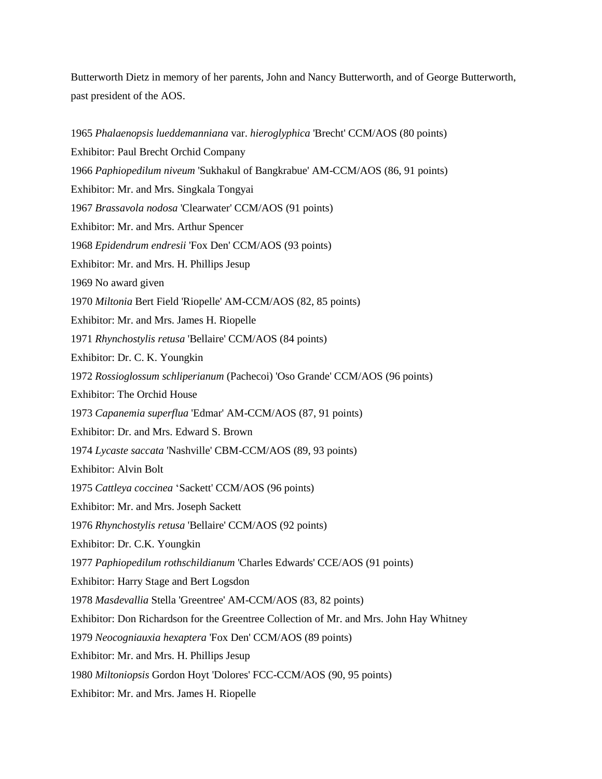Butterworth Dietz in memory of her parents, John and Nancy Butterworth, and of George Butterworth, past president of the AOS.

1965 *Phalaenopsis lueddemanniana* var. *hieroglyphica* 'Brecht' CCM/AOS (80 points) Exhibitor: Paul Brecht Orchid Company 1966 *Paphiopedilum niveum* 'Sukhakul of Bangkrabue' AM-CCM/AOS (86, 91 points) Exhibitor: Mr. and Mrs. Singkala Tongyai 1967 *Brassavola nodosa* 'Clearwater' CCM/AOS (91 points) Exhibitor: Mr. and Mrs. Arthur Spencer 1968 *Epidendrum endresii* 'Fox Den' CCM/AOS (93 points) Exhibitor: Mr. and Mrs. H. Phillips Jesup 1969 No award given 1970 *Miltonia* Bert Field 'Riopelle' AM-CCM/AOS (82, 85 points) Exhibitor: Mr. and Mrs. James H. Riopelle 1971 *Rhynchostylis retusa* 'Bellaire' CCM/AOS (84 points) Exhibitor: Dr. C. K. Youngkin 1972 *Rossioglossum schliperianum* (Pachecoi) 'Oso Grande' CCM/AOS (96 points) Exhibitor: The Orchid House 1973 *Capanemia superflua* 'Edmar' AM-CCM/AOS (87, 91 points) Exhibitor: Dr. and Mrs. Edward S. Brown 1974 *Lycaste saccata* 'Nashville' CBM-CCM/AOS (89, 93 points) Exhibitor: Alvin Bolt 1975 *Cattleya coccinea* 'Sackett' CCM/AOS (96 points) Exhibitor: Mr. and Mrs. Joseph Sackett 1976 *Rhynchostylis retusa* 'Bellaire' CCM/AOS (92 points) Exhibitor: Dr. C.K. Youngkin 1977 *Paphiopedilum rothschildianum* 'Charles Edwards' CCE/AOS (91 points) Exhibitor: Harry Stage and Bert Logsdon 1978 *Masdevallia* Stella 'Greentree' AM-CCM/AOS (83, 82 points) Exhibitor: Don Richardson for the Greentree Collection of Mr. and Mrs. John Hay Whitney 1979 *Neocogniauxia hexaptera* 'Fox Den' CCM/AOS (89 points) Exhibitor: Mr. and Mrs. H. Phillips Jesup 1980 *Miltoniopsis* Gordon Hoyt 'Dolores' FCC-CCM/AOS (90, 95 points) Exhibitor: Mr. and Mrs. James H. Riopelle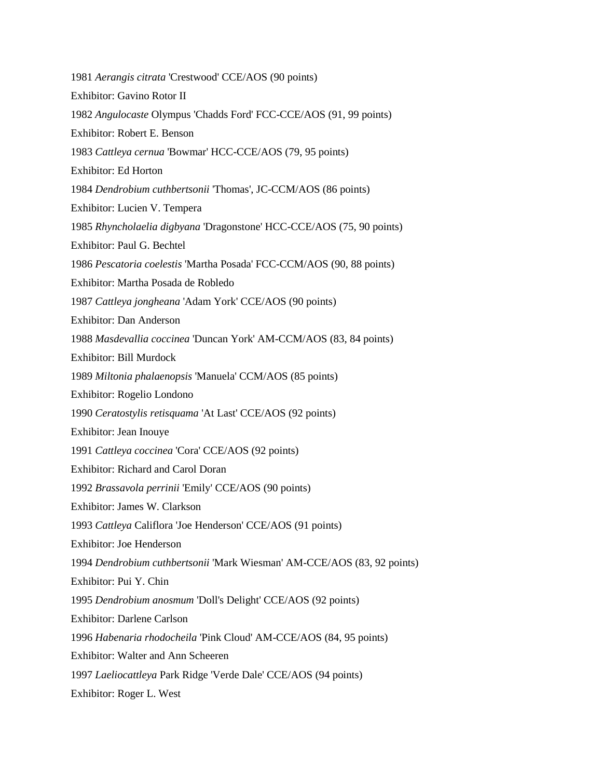1981 *Aerangis citrata* 'Crestwood' CCE/AOS (90 points) Exhibitor: Gavino Rotor II 1982 *Angulocaste* Olympus 'Chadds Ford' FCC-CCE/AOS (91, 99 points) Exhibitor: Robert E. Benson 1983 *Cattleya cernua* 'Bowmar' HCC-CCE/AOS (79, 95 points) Exhibitor: Ed Horton 1984 *Dendrobium cuthbertsonii* 'Thomas', JC-CCM/AOS (86 points) Exhibitor: Lucien V. Tempera 1985 *Rhyncholaelia digbyana* 'Dragonstone' HCC-CCE/AOS (75, 90 points) Exhibitor: Paul G. Bechtel 1986 *Pescatoria coelestis* 'Martha Posada' FCC-CCM/AOS (90, 88 points) Exhibitor: Martha Posada de Robledo 1987 *Cattleya jongheana* 'Adam York' CCE/AOS (90 points) Exhibitor: Dan Anderson 1988 *Masdevallia coccinea* 'Duncan York' AM-CCM/AOS (83, 84 points) Exhibitor: Bill Murdock 1989 *Miltonia phalaenopsis* 'Manuela' CCM/AOS (85 points) Exhibitor: Rogelio Londono 1990 *Ceratostylis retisquama* 'At Last' CCE/AOS (92 points) Exhibitor: Jean Inouye 1991 *Cattleya coccinea* 'Cora' CCE/AOS (92 points) Exhibitor: Richard and Carol Doran 1992 *Brassavola perrinii* 'Emily' CCE/AOS (90 points) Exhibitor: James W. Clarkson 1993 *Cattleya* Califlora 'Joe Henderson' CCE/AOS (91 points) Exhibitor: Joe Henderson 1994 *Dendrobium cuthbertsonii* 'Mark Wiesman' AM-CCE/AOS (83, 92 points) Exhibitor: Pui Y. Chin 1995 *Dendrobium anosmum* 'Doll's Delight' CCE/AOS (92 points) Exhibitor: Darlene Carlson 1996 *Habenaria rhodocheila* 'Pink Cloud' AM-CCE/AOS (84, 95 points) Exhibitor: Walter and Ann Scheeren 1997 *Laeliocattleya* Park Ridge 'Verde Dale' CCE/AOS (94 points) Exhibitor: Roger L. West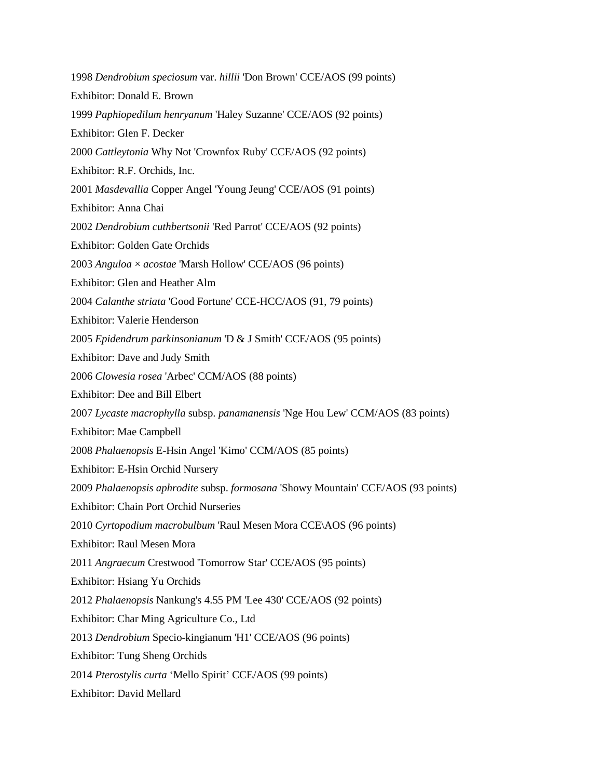1998 *Dendrobium speciosum* var. *hillii* 'Don Brown' CCE/AOS (99 points) Exhibitor: Donald E. Brown 1999 *Paphiopedilum henryanum* 'Haley Suzanne' CCE/AOS (92 points) Exhibitor: Glen F. Decker 2000 *Cattleytonia* Why Not 'Crownfox Ruby' CCE/AOS (92 points) Exhibitor: R.F. Orchids, Inc. 2001 *Masdevallia* Copper Angel 'Young Jeung' CCE/AOS (91 points) Exhibitor: Anna Chai 2002 *Dendrobium cuthbertsonii* 'Red Parrot' CCE/AOS (92 points) Exhibitor: Golden Gate Orchids 2003 *Anguloa* × *acostae* 'Marsh Hollow' CCE/AOS (96 points) Exhibitor: Glen and Heather Alm 2004 *Calanthe striata* 'Good Fortune' CCE-HCC/AOS (91, 79 points) Exhibitor: Valerie Henderson 2005 *Epidendrum parkinsonianum* 'D & J Smith' CCE/AOS (95 points) Exhibitor: Dave and Judy Smith 2006 *Clowesia rosea* 'Arbec' CCM/AOS (88 points) Exhibitor: Dee and Bill Elbert 2007 *Lycaste macrophylla* subsp. *panamanensis* 'Nge Hou Lew' CCM/AOS (83 points) Exhibitor: Mae Campbell 2008 *Phalaenopsis* E-Hsin Angel 'Kimo' CCM/AOS (85 points) Exhibitor: E-Hsin Orchid Nursery 2009 *Phalaenopsis aphrodite* subsp. *formosana* 'Showy Mountain' CCE/AOS (93 points) Exhibitor: Chain Port Orchid Nurseries 2010 *Cyrtopodium macrobulbum* 'Raul Mesen Mora CCE\AOS (96 points) Exhibitor: Raul Mesen Mora 2011 *Angraecum* Crestwood 'Tomorrow Star' CCE/AOS (95 points) Exhibitor: Hsiang Yu Orchids 2012 *Phalaenopsis* Nankung's 4.55 PM 'Lee 430' CCE/AOS (92 points) Exhibitor: Char Ming Agriculture Co., Ltd 2013 *Dendrobium* Specio-kingianum 'H1' CCE/AOS (96 points) Exhibitor: Tung Sheng Orchids 2014 *Pterostylis curta* 'Mello Spirit' CCE/AOS (99 points) Exhibitor: David Mellard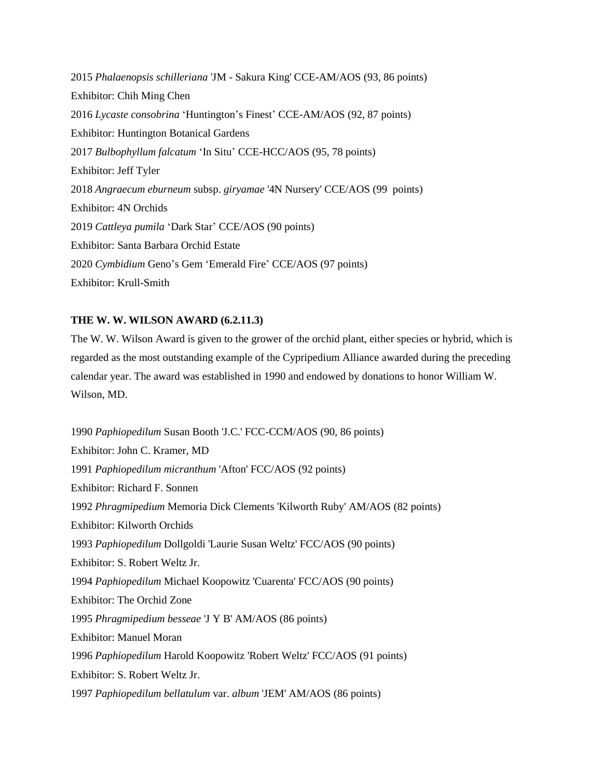2015 *Phalaenopsis schilleriana* 'JM - Sakura King' CCE-AM/AOS (93, 86 points) Exhibitor: Chih Ming Chen 2016 *Lycaste consobrina* 'Huntington's Finest' CCE-AM/AOS (92, 87 points) Exhibitor: Huntington Botanical Gardens 2017 *Bulbophyllum falcatum* 'In Situ' CCE-HCC/AOS (95, 78 points) Exhibitor: Jeff Tyler 2018 *Angraecum eburneum* subsp. *giryamae* '4N Nursery' CCE/AOS (99 points) Exhibitor: 4N Orchids 2019 *Cattleya pumila* 'Dark Star' CCE/AOS (90 points) Exhibitor: Santa Barbara Orchid Estate 2020 *Cymbidium* Geno's Gem 'Emerald Fire' CCE/AOS (97 points) Exhibitor: Krull-Smith

#### **THE W. W. WILSON AWARD (6.2.11.3)**

The W. W. Wilson Award is given to the grower of the orchid plant, either species or hybrid, which is regarded as the most outstanding example of the Cypripedium Alliance awarded during the preceding calendar year. The award was established in 1990 and endowed by donations to honor William W. Wilson, MD.

1990 *Paphiopedilum* Susan Booth 'J.C.' FCC-CCM/AOS (90, 86 points) Exhibitor: John C. Kramer, MD 1991 *Paphiopedilum micranthum* 'Afton' FCC/AOS (92 points) Exhibitor: Richard F. Sonnen 1992 *Phragmipedium* Memoria Dick Clements 'Kilworth Ruby' AM/AOS (82 points) Exhibitor: Kilworth Orchids 1993 *Paphiopedilum* Dollgoldi 'Laurie Susan Weltz' FCC/AOS (90 points) Exhibitor: S. Robert Weltz Jr. 1994 *Paphiopedilum* Michael Koopowitz 'Cuarenta' FCC/AOS (90 points) Exhibitor: The Orchid Zone 1995 *Phragmipedium besseae* 'J Y B' AM/AOS (86 points) Exhibitor: Manuel Moran 1996 *Paphiopedilum* Harold Koopowitz 'Robert Weltz' FCC/AOS (91 points) Exhibitor: S. Robert Weltz Jr. 1997 *Paphiopedilum bellatulum* var. *album* 'JEM' AM/AOS (86 points)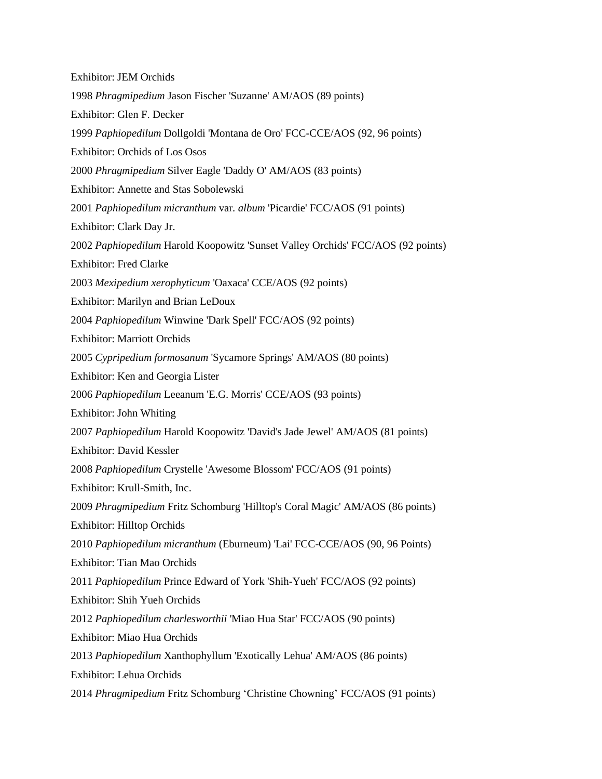| <b>Exhibitor: JEM Orchids</b>                                                   |
|---------------------------------------------------------------------------------|
| 1998 Phragmipedium Jason Fischer 'Suzanne' AM/AOS (89 points)                   |
| Exhibitor: Glen F. Decker                                                       |
| 1999 Paphiopedilum Dollgoldi 'Montana de Oro' FCC-CCE/AOS (92, 96 points)       |
| <b>Exhibitor: Orchids of Los Osos</b>                                           |
| 2000 Phragmipedium Silver Eagle 'Daddy O' AM/AOS (83 points)                    |
| Exhibitor: Annette and Stas Sobolewski                                          |
| 2001 Paphiopedilum micranthum var. album 'Picardie' FCC/AOS (91 points)         |
| Exhibitor: Clark Day Jr.                                                        |
| 2002 Paphiopedilum Harold Koopowitz 'Sunset Valley Orchids' FCC/AOS (92 points) |
| <b>Exhibitor: Fred Clarke</b>                                                   |
| 2003 Mexipedium xerophyticum 'Oaxaca' CCE/AOS (92 points)                       |
| <b>Exhibitor: Marilyn and Brian LeDoux</b>                                      |
| 2004 Paphiopedilum Winwine 'Dark Spell' FCC/AOS (92 points)                     |
| <b>Exhibitor: Marriott Orchids</b>                                              |
| 2005 Cypripedium formosanum 'Sycamore Springs' AM/AOS (80 points)               |
| Exhibitor: Ken and Georgia Lister                                               |
| 2006 Paphiopedilum Leeanum 'E.G. Morris' CCE/AOS (93 points)                    |
| Exhibitor: John Whiting                                                         |
| 2007 Paphiopedilum Harold Koopowitz 'David's Jade Jewel' AM/AOS (81 points)     |
| <b>Exhibitor: David Kessler</b>                                                 |
| 2008 Paphiopedilum Crystelle 'Awesome Blossom' FCC/AOS (91 points)              |
| Exhibitor: Krull-Smith, Inc.                                                    |
| 2009 Phragmipedium Fritz Schomburg 'Hilltop's Coral Magic' AM/AOS (86 points)   |
| <b>Exhibitor: Hilltop Orchids</b>                                               |
| 2010 Paphiopedilum micranthum (Eburneum) 'Lai' FCC-CCE/AOS (90, 96 Points)      |
| Exhibitor: Tian Mao Orchids                                                     |
| 2011 Paphiopedilum Prince Edward of York 'Shih-Yueh' FCC/AOS (92 points)        |
| Exhibitor: Shih Yueh Orchids                                                    |
| 2012 Paphiopedilum charlesworthii 'Miao Hua Star' FCC/AOS (90 points)           |
| <b>Exhibitor: Miao Hua Orchids</b>                                              |
| 2013 Paphiopedilum Xanthophyllum 'Exotically Lehua' AM/AOS (86 points)          |
| Exhibitor: Lehua Orchids                                                        |
| 2014 Phragmipedium Fritz Schomburg 'Christine Chowning' FCC/AOS (91 points)     |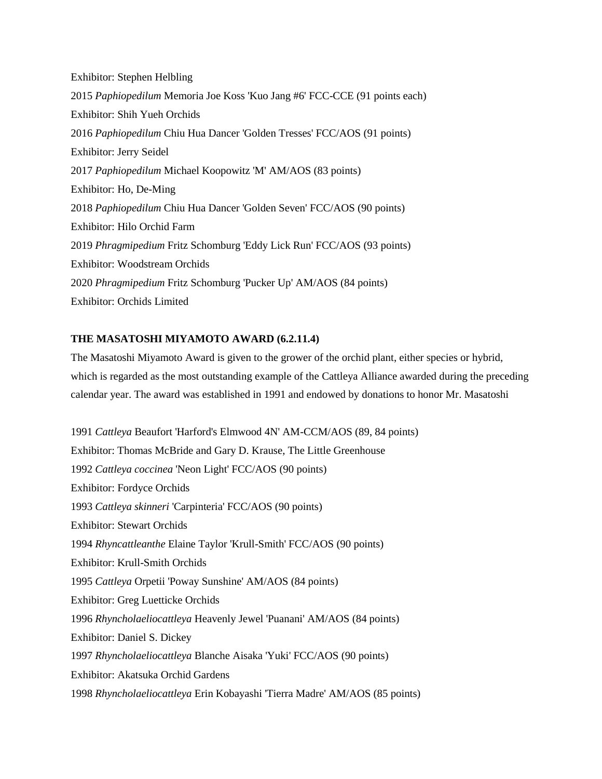Exhibitor: Stephen Helbling 2015 *Paphiopedilum* Memoria Joe Koss 'Kuo Jang #6' FCC-CCE (91 points each) Exhibitor: Shih Yueh Orchids 2016 *Paphiopedilum* Chiu Hua Dancer 'Golden Tresses' FCC/AOS (91 points) Exhibitor: Jerry Seidel 2017 *Paphiopedilum* Michael Koopowitz 'M' AM/AOS (83 points) Exhibitor: Ho, De-Ming 2018 *Paphiopedilum* Chiu Hua Dancer 'Golden Seven' FCC/AOS (90 points) Exhibitor: Hilo Orchid Farm 2019 *Phragmipedium* Fritz Schomburg 'Eddy Lick Run' FCC/AOS (93 points) Exhibitor: Woodstream Orchids 2020 *Phragmipedium* Fritz Schomburg 'Pucker Up' AM/AOS (84 points) Exhibitor: Orchids Limited

## **THE MASATOSHI MIYAMOTO AWARD (6.2.11.4)**

The Masatoshi Miyamoto Award is given to the grower of the orchid plant, either species or hybrid, which is regarded as the most outstanding example of the Cattleya Alliance awarded during the preceding calendar year. The award was established in 1991 and endowed by donations to honor Mr. Masatoshi

1991 *Cattleya* Beaufort 'Harford's Elmwood 4N' AM-CCM/AOS (89, 84 points) Exhibitor: Thomas McBride and Gary D. Krause, The Little Greenhouse 1992 *Cattleya coccinea* 'Neon Light' FCC/AOS (90 points) Exhibitor: Fordyce Orchids 1993 *Cattleya skinneri* 'Carpinteria' FCC/AOS (90 points) Exhibitor: Stewart Orchids 1994 *Rhyncattleanthe* Elaine Taylor 'Krull-Smith' FCC/AOS (90 points) Exhibitor: Krull-Smith Orchids 1995 *Cattleya* Orpetii 'Poway Sunshine' AM/AOS (84 points) Exhibitor: Greg Luetticke Orchids 1996 *Rhyncholaeliocattleya* Heavenly Jewel 'Puanani' AM/AOS (84 points) Exhibitor: Daniel S. Dickey 1997 *Rhyncholaeliocattleya* Blanche Aisaka 'Yuki' FCC/AOS (90 points) Exhibitor: Akatsuka Orchid Gardens 1998 *Rhyncholaeliocattleya* Erin Kobayashi 'Tierra Madre' AM/AOS (85 points)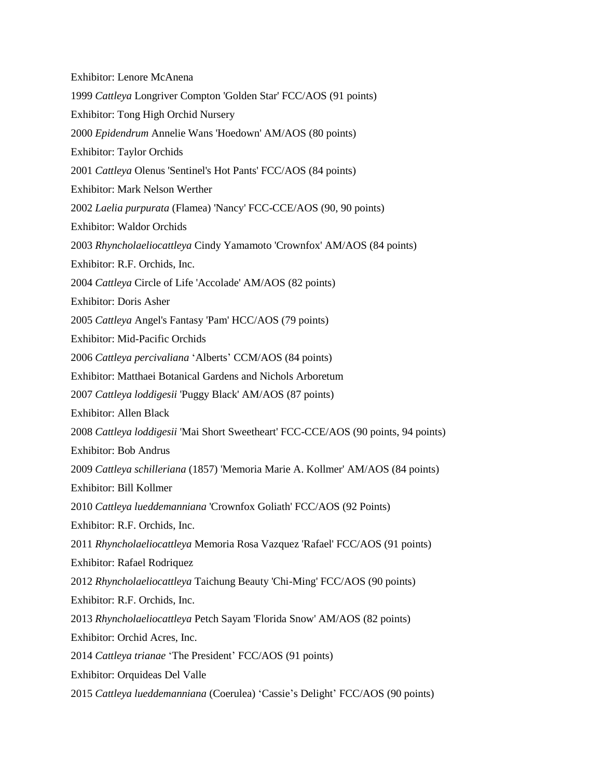Exhibitor: Lenore McAnena 1999 *Cattleya* Longriver Compton 'Golden Star' FCC/AOS (91 points) Exhibitor: Tong High Orchid Nursery 2000 *Epidendrum* Annelie Wans 'Hoedown' AM/AOS (80 points) Exhibitor: Taylor Orchids 2001 *Cattleya* Olenus 'Sentinel's Hot Pants' FCC/AOS (84 points) Exhibitor: Mark Nelson Werther 2002 *Laelia purpurata* (Flamea) 'Nancy' FCC-CCE/AOS (90, 90 points) Exhibitor: Waldor Orchids 2003 *Rhyncholaeliocattleya* Cindy Yamamoto 'Crownfox' AM/AOS (84 points) Exhibitor: R.F. Orchids, Inc. 2004 *Cattleya* Circle of Life 'Accolade' AM/AOS (82 points) Exhibitor: Doris Asher 2005 *Cattleya* Angel's Fantasy 'Pam' HCC/AOS (79 points) Exhibitor: Mid-Pacific Orchids 2006 *Cattleya percivaliana* 'Alberts' CCM/AOS (84 points) Exhibitor: Matthaei Botanical Gardens and Nichols Arboretum 2007 *Cattleya loddigesii* 'Puggy Black' AM/AOS (87 points) Exhibitor: Allen Black 2008 *Cattleya loddigesii* 'Mai Short Sweetheart' FCC-CCE/AOS (90 points, 94 points) Exhibitor: Bob Andrus 2009 *Cattleya schilleriana* (1857) 'Memoria Marie A. Kollmer' AM/AOS (84 points) Exhibitor: Bill Kollmer 2010 *Cattleya lueddemanniana* 'Crownfox Goliath' FCC/AOS (92 Points) Exhibitor: R.F. Orchids, Inc. 2011 *Rhyncholaeliocattleya* Memoria Rosa Vazquez 'Rafael' FCC/AOS (91 points) Exhibitor: Rafael Rodriquez 2012 *Rhyncholaeliocattleya* Taichung Beauty 'Chi-Ming' FCC/AOS (90 points) Exhibitor: R.F. Orchids, Inc. 2013 *Rhyncholaeliocattleya* Petch Sayam 'Florida Snow' AM/AOS (82 points) Exhibitor: Orchid Acres, Inc. 2014 *Cattleya trianae* 'The President' FCC/AOS (91 points) Exhibitor: Orquideas Del Valle 2015 *Cattleya lueddemanniana* (Coerulea) 'Cassie's Delight' FCC/AOS (90 points)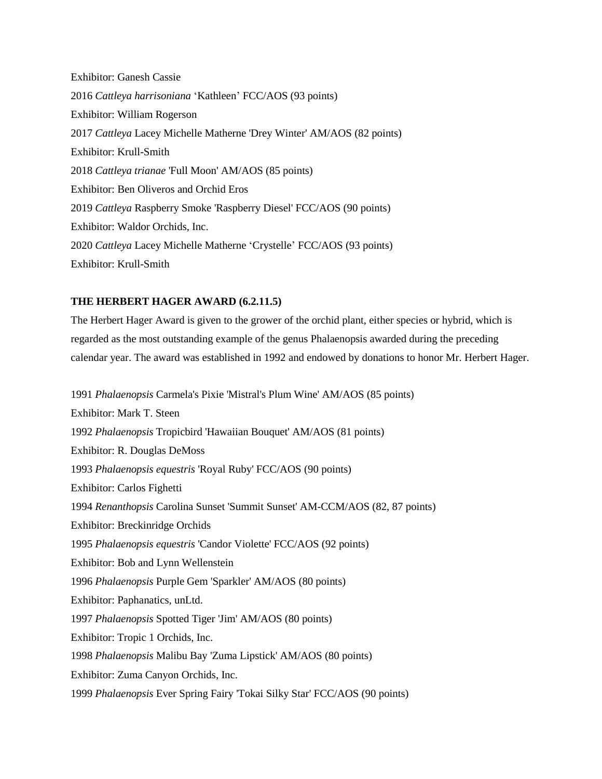Exhibitor: Ganesh Cassie 2016 *Cattleya harrisoniana* 'Kathleen' FCC/AOS (93 points) Exhibitor: William Rogerson 2017 *Cattleya* Lacey Michelle Matherne 'Drey Winter' AM/AOS (82 points) Exhibitor: Krull-Smith 2018 *Cattleya trianae* 'Full Moon' AM/AOS (85 points) Exhibitor: Ben Oliveros and Orchid Eros 2019 *Cattleya* Raspberry Smoke 'Raspberry Diesel' FCC/AOS (90 points) Exhibitor: Waldor Orchids, Inc. 2020 *Cattleya* Lacey Michelle Matherne 'Crystelle' FCC/AOS (93 points) Exhibitor: Krull-Smith

## **THE HERBERT HAGER AWARD (6.2.11.5)**

The Herbert Hager Award is given to the grower of the orchid plant, either species or hybrid, which is regarded as the most outstanding example of the genus Phalaenopsis awarded during the preceding calendar year. The award was established in 1992 and endowed by donations to honor Mr. Herbert Hager.

1991 *Phalaenopsis* Carmela's Pixie 'Mistral's Plum Wine' AM/AOS (85 points) Exhibitor: Mark T. Steen 1992 *Phalaenopsis* Tropicbird 'Hawaiian Bouquet' AM/AOS (81 points) Exhibitor: R. Douglas DeMoss 1993 *Phalaenopsis equestris* 'Royal Ruby' FCC/AOS (90 points) Exhibitor: Carlos Fighetti 1994 *Renanthopsis* Carolina Sunset 'Summit Sunset' AM-CCM/AOS (82, 87 points) Exhibitor: Breckinridge Orchids 1995 *Phalaenopsis equestris* 'Candor Violette' FCC/AOS (92 points) Exhibitor: Bob and Lynn Wellenstein 1996 *Phalaenopsis* Purple Gem 'Sparkler' AM/AOS (80 points) Exhibitor: Paphanatics, unLtd. 1997 *Phalaenopsis* Spotted Tiger 'Jim' AM/AOS (80 points) Exhibitor: Tropic 1 Orchids, Inc. 1998 *Phalaenopsis* Malibu Bay 'Zuma Lipstick' AM/AOS (80 points) Exhibitor: Zuma Canyon Orchids, Inc. 1999 *Phalaenopsis* Ever Spring Fairy 'Tokai Silky Star' FCC/AOS (90 points)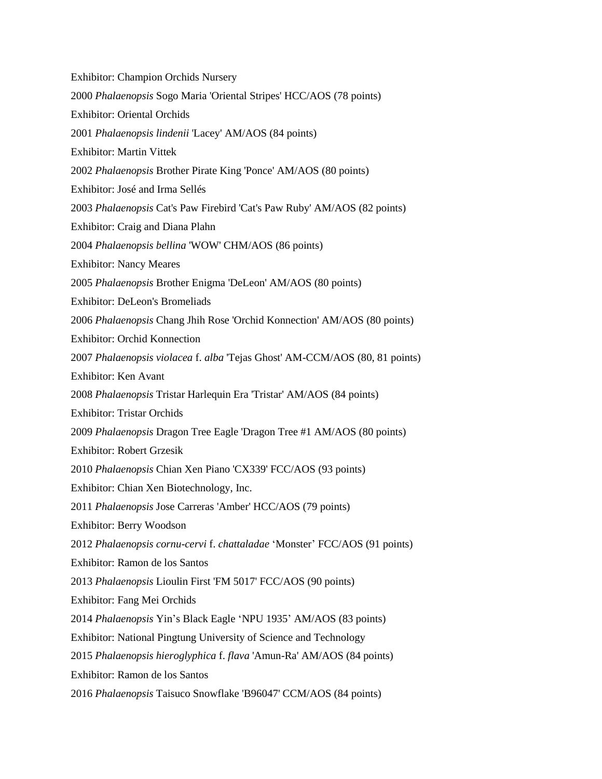Exhibitor: Champion Orchids Nursery 2000 *Phalaenopsis* Sogo Maria 'Oriental Stripes' HCC/AOS (78 points) Exhibitor: Oriental Orchids 2001 *Phalaenopsis lindenii* 'Lacey' AM/AOS (84 points) Exhibitor: Martin Vittek 2002 *Phalaenopsis* Brother Pirate King 'Ponce' AM/AOS (80 points) Exhibitor: José and Irma Sellés 2003 *Phalaenopsis* Cat's Paw Firebird 'Cat's Paw Ruby' AM/AOS (82 points) Exhibitor: Craig and Diana Plahn 2004 *Phalaenopsis bellina* 'WOW' CHM/AOS (86 points) Exhibitor: Nancy Meares 2005 *Phalaenopsis* Brother Enigma 'DeLeon' AM/AOS (80 points) Exhibitor: DeLeon's Bromeliads 2006 *Phalaenopsis* Chang Jhih Rose 'Orchid Konnection' AM/AOS (80 points) Exhibitor: Orchid Konnection 2007 *Phalaenopsis violacea* f. *alba* 'Tejas Ghost' AM-CCM/AOS (80, 81 points) Exhibitor: Ken Avant 2008 *Phalaenopsis* Tristar Harlequin Era 'Tristar' AM/AOS (84 points) Exhibitor: Tristar Orchids 2009 *Phalaenopsis* Dragon Tree Eagle 'Dragon Tree #1 AM/AOS (80 points) Exhibitor: Robert Grzesik 2010 *Phalaenopsis* Chian Xen Piano 'CX339' FCC/AOS (93 points) Exhibitor: Chian Xen Biotechnology, Inc. 2011 *Phalaenopsis* Jose Carreras 'Amber' HCC/AOS (79 points) Exhibitor: Berry Woodson 2012 *Phalaenopsis cornu-cervi* f. *chattaladae* 'Monster' FCC/AOS (91 points) Exhibitor: Ramon de los Santos 2013 *Phalaenopsis* Lioulin First 'FM 5017' FCC/AOS (90 points) Exhibitor: Fang Mei Orchids 2014 *Phalaenopsis* Yin's Black Eagle 'NPU 1935' AM/AOS (83 points) Exhibitor: National Pingtung University of Science and Technology 2015 *Phalaenopsis hieroglyphica* f. *flava* 'Amun-Ra' AM/AOS (84 points) Exhibitor: Ramon de los Santos 2016 *Phalaenopsis* Taisuco Snowflake 'B96047' CCM/AOS (84 points)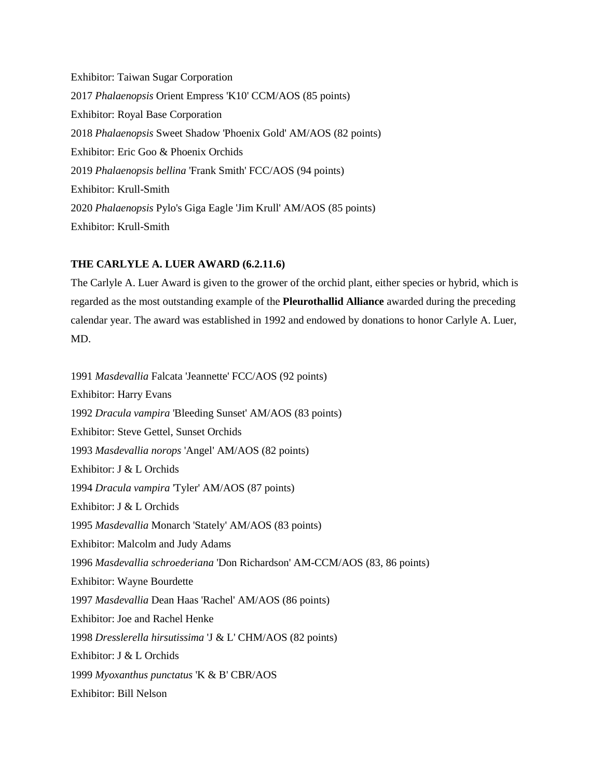Exhibitor: Taiwan Sugar Corporation 2017 *Phalaenopsis* Orient Empress 'K10' CCM/AOS (85 points) Exhibitor: Royal Base Corporation 2018 *Phalaenopsis* Sweet Shadow 'Phoenix Gold' AM/AOS (82 points) Exhibitor: Eric Goo & Phoenix Orchids 2019 *Phalaenopsis bellina* 'Frank Smith' FCC/AOS (94 points) Exhibitor: Krull-Smith 2020 *Phalaenopsis* Pylo's Giga Eagle 'Jim Krull' AM/AOS (85 points) Exhibitor: Krull-Smith

#### **THE CARLYLE A. LUER AWARD (6.2.11.6)**

The Carlyle A. Luer Award is given to the grower of the orchid plant, either species or hybrid, which is regarded as the most outstanding example of the **Pleurothallid Alliance** awarded during the preceding calendar year. The award was established in 1992 and endowed by donations to honor Carlyle A. Luer, MD.

1991 *Masdevallia* Falcata 'Jeannette' FCC/AOS (92 points) Exhibitor: Harry Evans 1992 *Dracula vampira* 'Bleeding Sunset' AM/AOS (83 points) Exhibitor: Steve Gettel, Sunset Orchids 1993 *Masdevallia norops* 'Angel' AM/AOS (82 points) Exhibitor: J & L Orchids 1994 *Dracula vampira* 'Tyler' AM/AOS (87 points) Exhibitor: J & L Orchids 1995 *Masdevallia* Monarch 'Stately' AM/AOS (83 points) Exhibitor: Malcolm and Judy Adams 1996 *Masdevallia schroederiana* 'Don Richardson' AM-CCM/AOS (83, 86 points) Exhibitor: Wayne Bourdette 1997 *Masdevallia* Dean Haas 'Rachel' AM/AOS (86 points) Exhibitor: Joe and Rachel Henke 1998 *Dresslerella hirsutissima* 'J & L' CHM/AOS (82 points) Exhibitor: J & L Orchids 1999 *Myoxanthus punctatus* 'K & B' CBR/AOS Exhibitor: Bill Nelson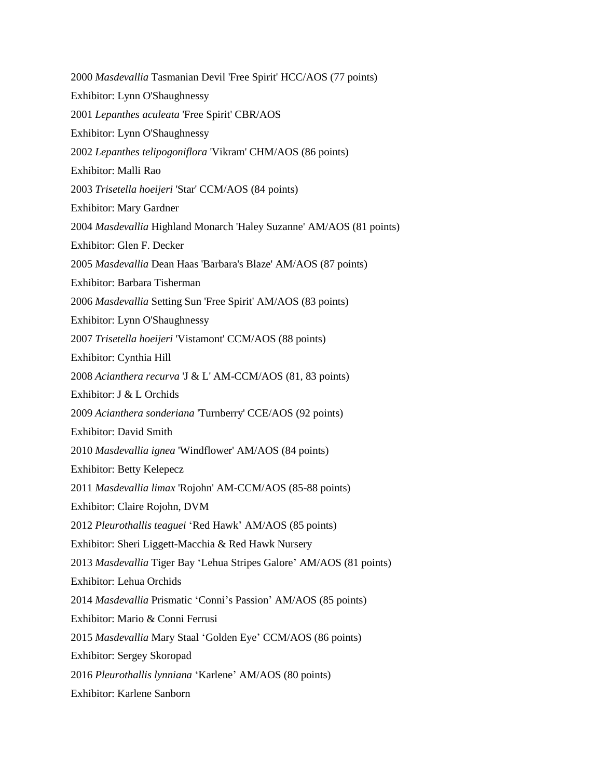2000 *Masdevallia* Tasmanian Devil 'Free Spirit' HCC/AOS (77 points) Exhibitor: Lynn O'Shaughnessy 2001 *Lepanthes aculeata* 'Free Spirit' CBR/AOS Exhibitor: Lynn O'Shaughnessy 2002 *Lepanthes telipogoniflora* 'Vikram' CHM/AOS (86 points) Exhibitor: Malli Rao 2003 *Trisetella hoeijeri* 'Star' CCM/AOS (84 points) Exhibitor: Mary Gardner 2004 *Masdevallia* Highland Monarch 'Haley Suzanne' AM/AOS (81 points) Exhibitor: Glen F. Decker 2005 *Masdevallia* Dean Haas 'Barbara's Blaze' AM/AOS (87 points) Exhibitor: Barbara Tisherman 2006 *Masdevallia* Setting Sun 'Free Spirit' AM/AOS (83 points) Exhibitor: Lynn O'Shaughnessy 2007 *Trisetella hoeijeri* 'Vistamont' CCM/AOS (88 points) Exhibitor: Cynthia Hill 2008 *Acianthera recurva* 'J & L' AM-CCM/AOS (81, 83 points) Exhibitor: J & L Orchids 2009 *Acianthera sonderiana* 'Turnberry' CCE/AOS (92 points) Exhibitor: David Smith 2010 *Masdevallia ignea* 'Windflower' AM/AOS (84 points) Exhibitor: Betty Kelepecz 2011 *Masdevallia limax* 'Rojohn' AM-CCM/AOS (85-88 points) Exhibitor: Claire Rojohn, DVM 2012 *Pleurothallis teaguei* 'Red Hawk' AM/AOS (85 points) Exhibitor: Sheri Liggett-Macchia & Red Hawk Nursery 2013 *Masdevallia* Tiger Bay 'Lehua Stripes Galore' AM/AOS (81 points) Exhibitor: Lehua Orchids 2014 *Masdevallia* Prismatic 'Conni's Passion' AM/AOS (85 points) Exhibitor: Mario & Conni Ferrusi 2015 *Masdevallia* Mary Staal 'Golden Eye' CCM/AOS (86 points) Exhibitor: Sergey Skoropad 2016 *Pleurothallis lynniana* 'Karlene' AM/AOS (80 points) Exhibitor: Karlene Sanborn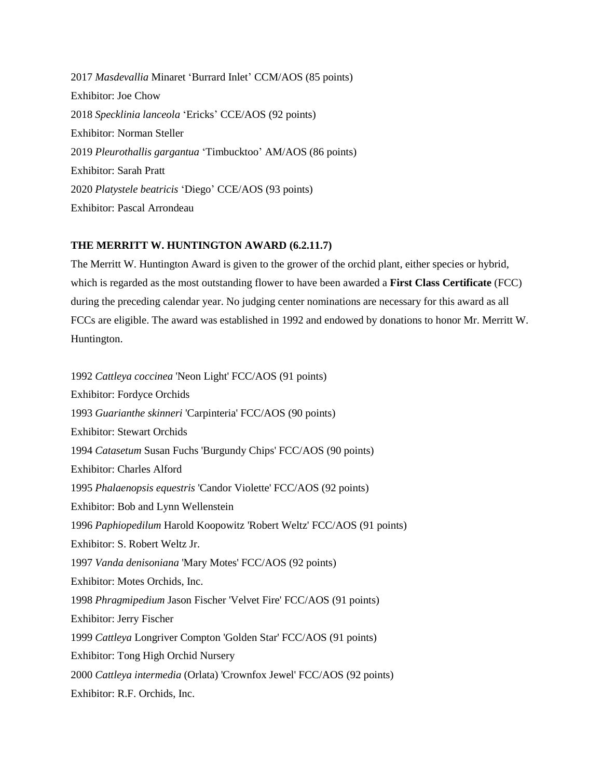2017 *Masdevallia* Minaret 'Burrard Inlet' CCM/AOS (85 points) Exhibitor: Joe Chow 2018 *Specklinia lanceola* 'Ericks' CCE/AOS (92 points) Exhibitor: Norman Steller 2019 *Pleurothallis gargantua* 'Timbucktoo' AM/AOS (86 points) Exhibitor: Sarah Pratt 2020 *Platystele beatricis* 'Diego' CCE/AOS (93 points) Exhibitor: Pascal Arrondeau

#### **THE MERRITT W. HUNTINGTON AWARD (6.2.11.7)**

The Merritt W. Huntington Award is given to the grower of the orchid plant, either species or hybrid, which is regarded as the most outstanding flower to have been awarded a **First Class Certificate** (FCC) during the preceding calendar year. No judging center nominations are necessary for this award as all FCCs are eligible. The award was established in 1992 and endowed by donations to honor Mr. Merritt W. Huntington.

1992 *Cattleya coccinea* 'Neon Light' FCC/AOS (91 points) Exhibitor: Fordyce Orchids 1993 *Guarianthe skinneri* 'Carpinteria' FCC/AOS (90 points) Exhibitor: Stewart Orchids 1994 *Catasetum* Susan Fuchs 'Burgundy Chips' FCC/AOS (90 points) Exhibitor: Charles Alford 1995 *Phalaenopsis equestris* 'Candor Violette' FCC/AOS (92 points) Exhibitor: Bob and Lynn Wellenstein 1996 *Paphiopedilum* Harold Koopowitz 'Robert Weltz' FCC/AOS (91 points) Exhibitor: S. Robert Weltz Jr. 1997 *Vanda denisoniana* 'Mary Motes' FCC/AOS (92 points) Exhibitor: Motes Orchids, Inc. 1998 *Phragmipedium* Jason Fischer 'Velvet Fire' FCC/AOS (91 points) Exhibitor: Jerry Fischer 1999 *Cattleya* Longriver Compton 'Golden Star' FCC/AOS (91 points) Exhibitor: Tong High Orchid Nursery 2000 *Cattleya intermedia* (Orlata) 'Crownfox Jewel' FCC/AOS (92 points) Exhibitor: R.F. Orchids, Inc.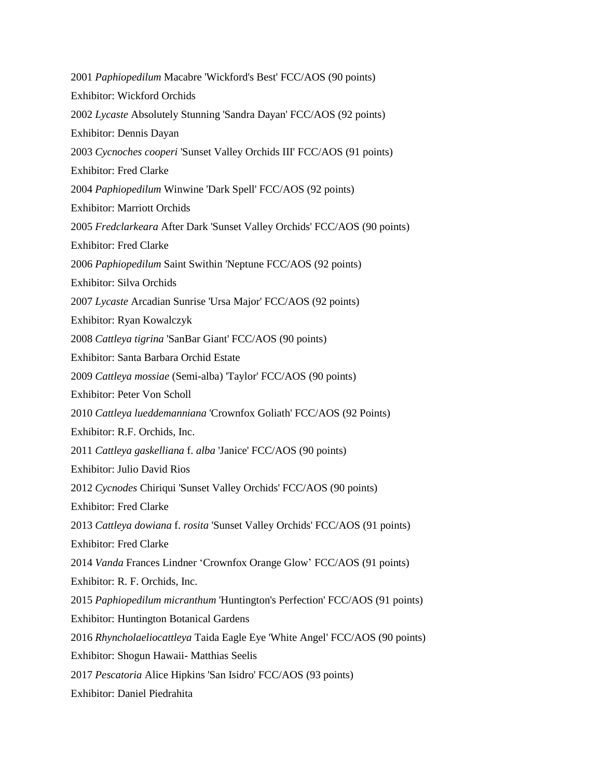2001 *Paphiopedilum* Macabre 'Wickford's Best' FCC/AOS (90 points) Exhibitor: Wickford Orchids 2002 *Lycaste* Absolutely Stunning 'Sandra Dayan' FCC/AOS (92 points) Exhibitor: Dennis Dayan 2003 *Cycnoches cooperi* 'Sunset Valley Orchids III' FCC/AOS (91 points) Exhibitor: Fred Clarke 2004 *Paphiopedilum* Winwine 'Dark Spell' FCC/AOS (92 points) Exhibitor: Marriott Orchids 2005 *Fredclarkeara* After Dark 'Sunset Valley Orchids' FCC/AOS (90 points) Exhibitor: Fred Clarke 2006 *Paphiopedilum* Saint Swithin 'Neptune FCC/AOS (92 points) Exhibitor: Silva Orchids 2007 *Lycaste* Arcadian Sunrise 'Ursa Major' FCC/AOS (92 points) Exhibitor: Ryan Kowalczyk 2008 *Cattleya tigrina* 'SanBar Giant' FCC/AOS (90 points) Exhibitor: Santa Barbara Orchid Estate 2009 *Cattleya mossiae* (Semi-alba) 'Taylor' FCC/AOS (90 points) Exhibitor: Peter Von Scholl 2010 *Cattleya lueddemanniana* 'Crownfox Goliath' FCC/AOS (92 Points) Exhibitor: R.F. Orchids, Inc. 2011 *Cattleya gaskelliana* f. *alba* 'Janice' FCC/AOS (90 points) Exhibitor: Julio David Rios 2012 *Cycnodes* Chiriqui 'Sunset Valley Orchids' FCC/AOS (90 points) Exhibitor: Fred Clarke 2013 *Cattleya dowiana* f. *rosita* 'Sunset Valley Orchids' FCC/AOS (91 points) Exhibitor: Fred Clarke 2014 *Vanda* Frances Lindner 'Crownfox Orange Glow' FCC/AOS (91 points) Exhibitor: R. F. Orchids, Inc. 2015 *Paphiopedilum micranthum* 'Huntington's Perfection' FCC/AOS (91 points) Exhibitor: Huntington Botanical Gardens 2016 *Rhyncholaeliocattleya* Taida Eagle Eye 'White Angel' FCC/AOS (90 points) Exhibitor: Shogun Hawaii- Matthias Seelis 2017 *Pescatoria* Alice Hipkins 'San Isidro' FCC/AOS (93 points) Exhibitor: Daniel Piedrahita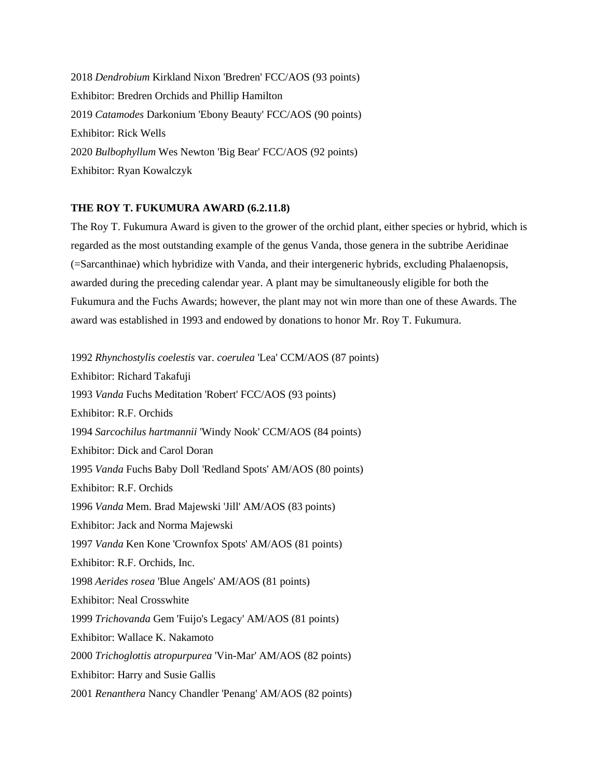2018 *Dendrobium* Kirkland Nixon 'Bredren' FCC/AOS (93 points) Exhibitor: Bredren Orchids and Phillip Hamilton 2019 *Catamodes* Darkonium 'Ebony Beauty' FCC/AOS (90 points) Exhibitor: Rick Wells 2020 *Bulbophyllum* Wes Newton 'Big Bear' FCC/AOS (92 points) Exhibitor: Ryan Kowalczyk

#### **THE ROY T. FUKUMURA AWARD (6.2.11.8)**

The Roy T. Fukumura Award is given to the grower of the orchid plant, either species or hybrid, which is regarded as the most outstanding example of the genus Vanda, those genera in the subtribe Aeridinae (=Sarcanthinae) which hybridize with Vanda, and their intergeneric hybrids, excluding Phalaenopsis, awarded during the preceding calendar year. A plant may be simultaneously eligible for both the Fukumura and the Fuchs Awards; however, the plant may not win more than one of these Awards. The award was established in 1993 and endowed by donations to honor Mr. Roy T. Fukumura.

1992 *Rhynchostylis coelestis* var. *coerulea* 'Lea' CCM/AOS (87 points)

Exhibitor: Richard Takafuji 1993 *Vanda* Fuchs Meditation 'Robert' FCC/AOS (93 points) Exhibitor: R.F. Orchids 1994 *Sarcochilus hartmannii* 'Windy Nook' CCM/AOS (84 points) Exhibitor: Dick and Carol Doran 1995 *Vanda* Fuchs Baby Doll 'Redland Spots' AM/AOS (80 points) Exhibitor: R.F. Orchids 1996 *Vanda* Mem. Brad Majewski 'Jill' AM/AOS (83 points) Exhibitor: Jack and Norma Majewski 1997 *Vanda* Ken Kone 'Crownfox Spots' AM/AOS (81 points) Exhibitor: R.F. Orchids, Inc. 1998 *Aerides rosea* 'Blue Angels' AM/AOS (81 points) Exhibitor: Neal Crosswhite 1999 *Trichovanda* Gem 'Fuijo's Legacy' AM/AOS (81 points) Exhibitor: Wallace K. Nakamoto 2000 *Trichoglottis atropurpurea* 'Vin-Mar' AM/AOS (82 points) Exhibitor: Harry and Susie Gallis 2001 *Renanthera* Nancy Chandler 'Penang' AM/AOS (82 points)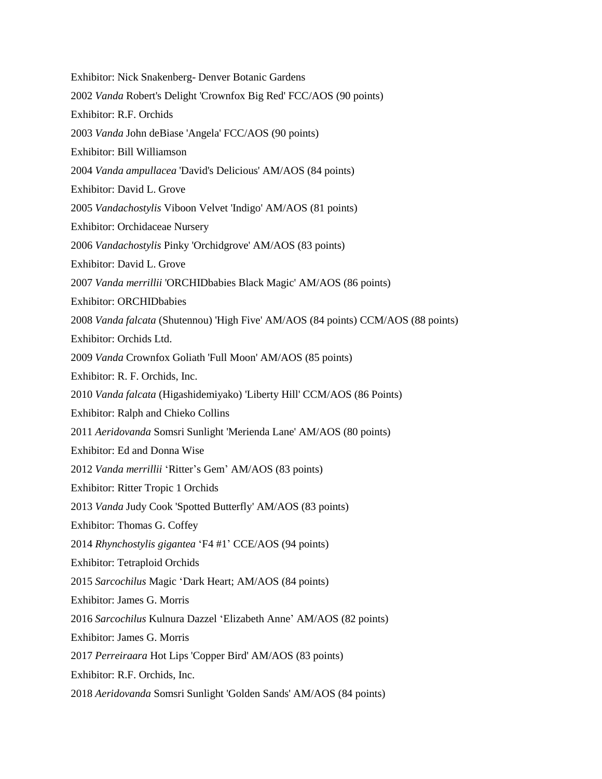Exhibitor: Nick Snakenberg- Denver Botanic Gardens 2002 *Vanda* Robert's Delight 'Crownfox Big Red' FCC/AOS (90 points) Exhibitor: R.F. Orchids 2003 *Vanda* John deBiase 'Angela' FCC/AOS (90 points) Exhibitor: Bill Williamson 2004 *Vanda ampullacea* 'David's Delicious' AM/AOS (84 points) Exhibitor: David L. Grove 2005 *Vandachostylis* Viboon Velvet 'Indigo' AM/AOS (81 points) Exhibitor: Orchidaceae Nursery 2006 *Vandachostylis* Pinky 'Orchidgrove' AM/AOS (83 points) Exhibitor: David L. Grove 2007 *Vanda merrillii* 'ORCHIDbabies Black Magic' AM/AOS (86 points) Exhibitor: ORCHIDbabies 2008 *Vanda falcata* (Shutennou) 'High Five' AM/AOS (84 points) CCM/AOS (88 points) Exhibitor: Orchids Ltd. 2009 *Vanda* Crownfox Goliath 'Full Moon' AM/AOS (85 points) Exhibitor: R. F. Orchids, Inc. 2010 *Vanda falcata* (Higashidemiyako) 'Liberty Hill' CCM/AOS (86 Points) Exhibitor: Ralph and Chieko Collins 2011 *Aeridovanda* Somsri Sunlight 'Merienda Lane' AM/AOS (80 points) Exhibitor: Ed and Donna Wise 2012 *Vanda merrillii* 'Ritter's Gem' AM/AOS (83 points) Exhibitor: Ritter Tropic 1 Orchids 2013 *Vanda* Judy Cook 'Spotted Butterfly' AM/AOS (83 points) Exhibitor: Thomas G. Coffey 2014 *Rhynchostylis gigantea* 'F4 #1' CCE/AOS (94 points) Exhibitor: Tetraploid Orchids 2015 *Sarcochilus* Magic 'Dark Heart; AM/AOS (84 points) Exhibitor: James G. Morris 2016 *Sarcochilus* Kulnura Dazzel 'Elizabeth Anne' AM/AOS (82 points) Exhibitor: James G. Morris 2017 *Perreiraara* Hot Lips 'Copper Bird' AM/AOS (83 points) Exhibitor: R.F. Orchids, Inc. 2018 *Aeridovanda* Somsri Sunlight 'Golden Sands' AM/AOS (84 points)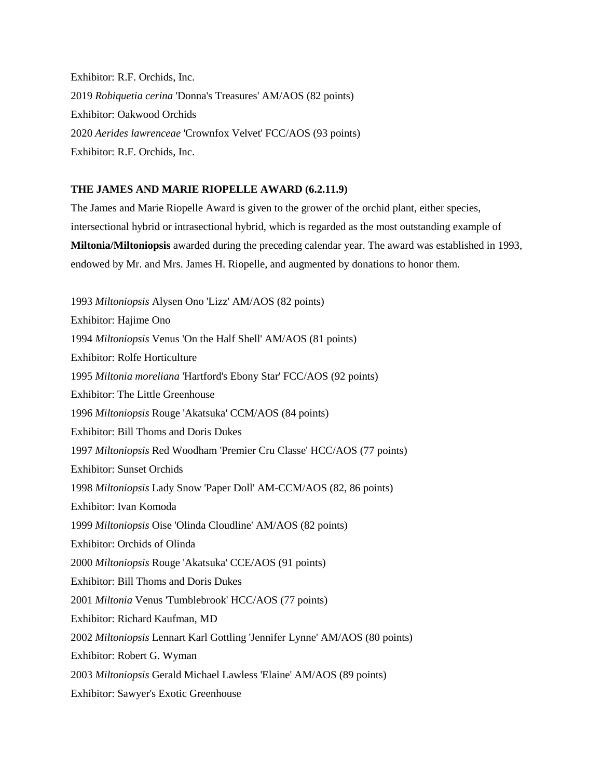Exhibitor: R.F. Orchids, Inc. 2019 *Robiquetia cerina* 'Donna's Treasures' AM/AOS (82 points) Exhibitor: Oakwood Orchids 2020 *Aerides lawrenceae* 'Crownfox Velvet' FCC/AOS (93 points) Exhibitor: R.F. Orchids, Inc.

#### **THE JAMES AND MARIE RIOPELLE AWARD (6.2.11.9)**

The James and Marie Riopelle Award is given to the grower of the orchid plant, either species, intersectional hybrid or intrasectional hybrid, which is regarded as the most outstanding example of **Miltonia/Miltoniopsis** awarded during the preceding calendar year. The award was established in 1993, endowed by Mr. and Mrs. James H. Riopelle, and augmented by donations to honor them.

1993 *Miltoniopsis* Alysen Ono 'Lizz' AM/AOS (82 points) Exhibitor: Hajime Ono 1994 *Miltoniopsis* Venus 'On the Half Shell' AM/AOS (81 points) Exhibitor: Rolfe Horticulture 1995 *Miltonia moreliana* 'Hartford's Ebony Star' FCC/AOS (92 points) Exhibitor: The Little Greenhouse 1996 *Miltoniopsis* Rouge 'Akatsuka' CCM/AOS (84 points) Exhibitor: Bill Thoms and Doris Dukes 1997 *Miltoniopsis* Red Woodham 'Premier Cru Classe' HCC/AOS (77 points) Exhibitor: Sunset Orchids 1998 *Miltoniopsis* Lady Snow 'Paper Doll' AM-CCM/AOS (82, 86 points) Exhibitor: Ivan Komoda 1999 *Miltoniopsis* Oise 'Olinda Cloudline' AM/AOS (82 points) Exhibitor: Orchids of Olinda 2000 *Miltoniopsis* Rouge 'Akatsuka' CCE/AOS (91 points) Exhibitor: Bill Thoms and Doris Dukes 2001 *Miltonia* Venus 'Tumblebrook' HCC/AOS (77 points) Exhibitor: Richard Kaufman, MD 2002 *Miltoniopsis* Lennart Karl Gottling 'Jennifer Lynne' AM/AOS (80 points) Exhibitor: Robert G. Wyman 2003 *Miltoniopsis* Gerald Michael Lawless 'Elaine' AM/AOS (89 points) Exhibitor: Sawyer's Exotic Greenhouse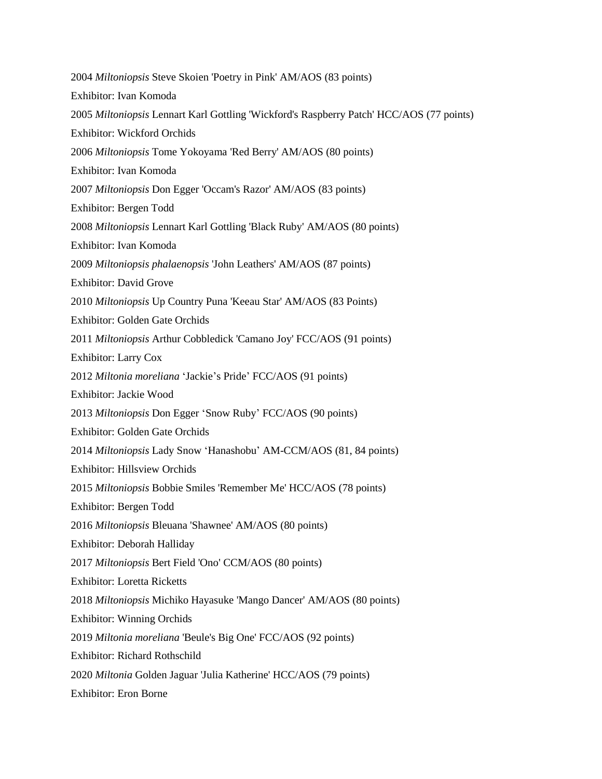2004 *Miltoniopsis* Steve Skoien 'Poetry in Pink' AM/AOS (83 points) Exhibitor: Ivan Komoda 2005 *Miltoniopsis* Lennart Karl Gottling 'Wickford's Raspberry Patch' HCC/AOS (77 points) Exhibitor: Wickford Orchids 2006 *Miltoniopsis* Tome Yokoyama 'Red Berry' AM/AOS (80 points) Exhibitor: Ivan Komoda 2007 *Miltoniopsis* Don Egger 'Occam's Razor' AM/AOS (83 points) Exhibitor: Bergen Todd 2008 *Miltoniopsis* Lennart Karl Gottling 'Black Ruby' AM/AOS (80 points) Exhibitor: Ivan Komoda 2009 *Miltoniopsis phalaenopsis* 'John Leathers' AM/AOS (87 points) Exhibitor: David Grove 2010 *Miltoniopsis* Up Country Puna 'Keeau Star' AM/AOS (83 Points) Exhibitor: Golden Gate Orchids 2011 *Miltoniopsis* Arthur Cobbledick 'Camano Joy' FCC/AOS (91 points) Exhibitor: Larry Cox 2012 *Miltonia moreliana* 'Jackie's Pride' FCC/AOS (91 points) Exhibitor: Jackie Wood 2013 *Miltoniopsis* Don Egger 'Snow Ruby' FCC/AOS (90 points) Exhibitor: Golden Gate Orchids 2014 *Miltoniopsis* Lady Snow 'Hanashobu' AM-CCM/AOS (81, 84 points) Exhibitor: Hillsview Orchids 2015 *Miltoniopsis* Bobbie Smiles 'Remember Me' HCC/AOS (78 points) Exhibitor: Bergen Todd 2016 *Miltoniopsis* Bleuana 'Shawnee' AM/AOS (80 points) Exhibitor: Deborah Halliday 2017 *Miltoniopsis* Bert Field 'Ono' CCM/AOS (80 points) Exhibitor: Loretta Ricketts 2018 *Miltoniopsis* Michiko Hayasuke 'Mango Dancer' AM/AOS (80 points) Exhibitor: Winning Orchids 2019 *Miltonia moreliana* 'Beule's Big One' FCC/AOS (92 points) Exhibitor: Richard Rothschild 2020 *Miltonia* Golden Jaguar 'Julia Katherine' HCC/AOS (79 points) Exhibitor: Eron Borne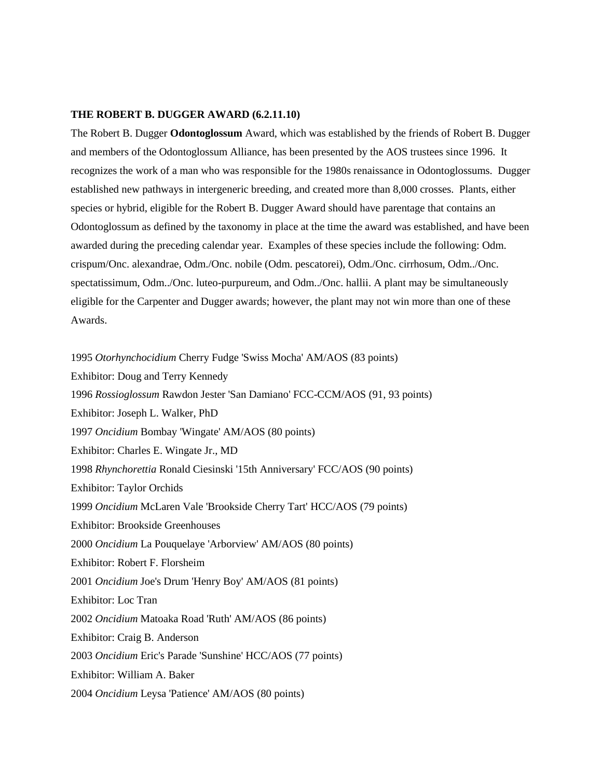#### **THE ROBERT B. DUGGER AWARD (6.2.11.10)**

The Robert B. Dugger **Odontoglossum** Award, which was established by the friends of Robert B. Dugger and members of the Odontoglossum Alliance, has been presented by the AOS trustees since 1996. It recognizes the work of a man who was responsible for the 1980s renaissance in Odontoglossums. Dugger established new pathways in intergeneric breeding, and created more than 8,000 crosses. Plants, either species or hybrid, eligible for the Robert B. Dugger Award should have parentage that contains an Odontoglossum as defined by the taxonomy in place at the time the award was established, and have been awarded during the preceding calendar year. Examples of these species include the following: Odm. crispum/Onc. alexandrae, Odm./Onc. nobile (Odm. pescatorei), Odm./Onc. cirrhosum, Odm../Onc. spectatissimum, Odm../Onc. luteo-purpureum, and Odm../Onc. hallii. A plant may be simultaneously eligible for the Carpenter and Dugger awards; however, the plant may not win more than one of these Awards.

1995 *Otorhynchocidium* Cherry Fudge 'Swiss Mocha' AM/AOS (83 points)

Exhibitor: Doug and Terry Kennedy

1996 *Rossioglossum* Rawdon Jester 'San Damiano' FCC-CCM/AOS (91, 93 points)

Exhibitor: Joseph L. Walker, PhD

1997 *Oncidium* Bombay 'Wingate' AM/AOS (80 points)

Exhibitor: Charles E. Wingate Jr., MD

1998 *Rhynchorettia* Ronald Ciesinski '15th Anniversary' FCC/AOS (90 points)

Exhibitor: Taylor Orchids

1999 *Oncidium* McLaren Vale 'Brookside Cherry Tart' HCC/AOS (79 points)

Exhibitor: Brookside Greenhouses

2000 *Oncidium* La Pouquelaye 'Arborview' AM/AOS (80 points)

Exhibitor: Robert F. Florsheim

2001 *Oncidium* Joe's Drum 'Henry Boy' AM/AOS (81 points)

Exhibitor: Loc Tran

2002 *Oncidium* Matoaka Road 'Ruth' AM/AOS (86 points)

Exhibitor: Craig B. Anderson

2003 *Oncidium* Eric's Parade 'Sunshine' HCC/AOS (77 points)

Exhibitor: William A. Baker

2004 *Oncidium* Leysa 'Patience' AM/AOS (80 points)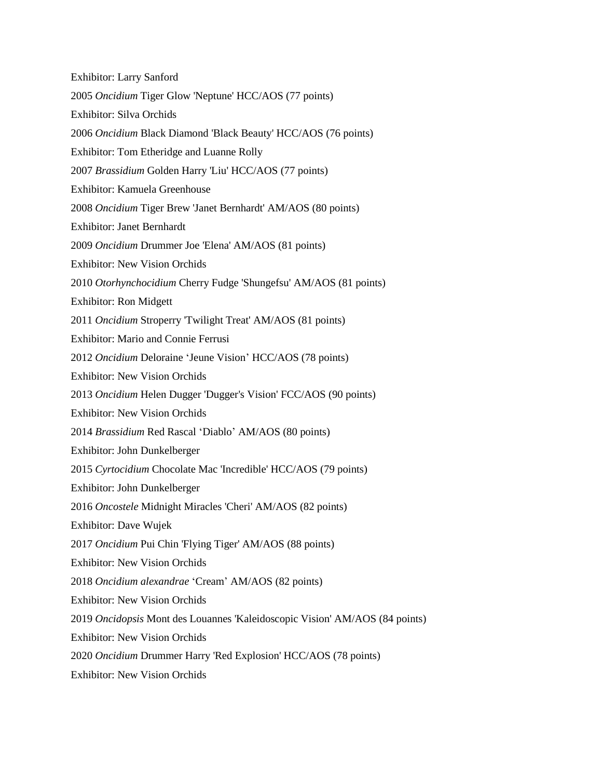Exhibitor: Larry Sanford 2005 *Oncidium* Tiger Glow 'Neptune' HCC/AOS (77 points) Exhibitor: Silva Orchids 2006 *Oncidium* Black Diamond 'Black Beauty' HCC/AOS (76 points) Exhibitor: Tom Etheridge and Luanne Rolly 2007 *Brassidium* Golden Harry 'Liu' HCC/AOS (77 points) Exhibitor: Kamuela Greenhouse 2008 *Oncidium* Tiger Brew 'Janet Bernhardt' AM/AOS (80 points) Exhibitor: Janet Bernhardt 2009 *Oncidium* Drummer Joe 'Elena' AM/AOS (81 points) Exhibitor: New Vision Orchids 2010 *Otorhynchocidium* Cherry Fudge 'Shungefsu' AM/AOS (81 points) Exhibitor: Ron Midgett 2011 *Oncidium* Stroperry 'Twilight Treat' AM/AOS (81 points) Exhibitor: Mario and Connie Ferrusi 2012 *Oncidium* Deloraine 'Jeune Vision' HCC/AOS (78 points) Exhibitor: New Vision Orchids 2013 *Oncidium* Helen Dugger 'Dugger's Vision' FCC/AOS (90 points) Exhibitor: New Vision Orchids 2014 *Brassidium* Red Rascal 'Diablo' AM/AOS (80 points) Exhibitor: John Dunkelberger 2015 *Cyrtocidium* Chocolate Mac 'Incredible' HCC/AOS (79 points) Exhibitor: John Dunkelberger 2016 *Oncostele* Midnight Miracles 'Cheri' AM/AOS (82 points) Exhibitor: Dave Wujek 2017 *Oncidium* Pui Chin 'Flying Tiger' AM/AOS (88 points) Exhibitor: New Vision Orchids 2018 *Oncidium alexandrae* 'Cream' AM/AOS (82 points) Exhibitor: New Vision Orchids 2019 *Oncidopsis* Mont des Louannes 'Kaleidoscopic Vision' AM/AOS (84 points) Exhibitor: New Vision Orchids 2020 *Oncidium* Drummer Harry 'Red Explosion' HCC/AOS (78 points) Exhibitor: New Vision Orchids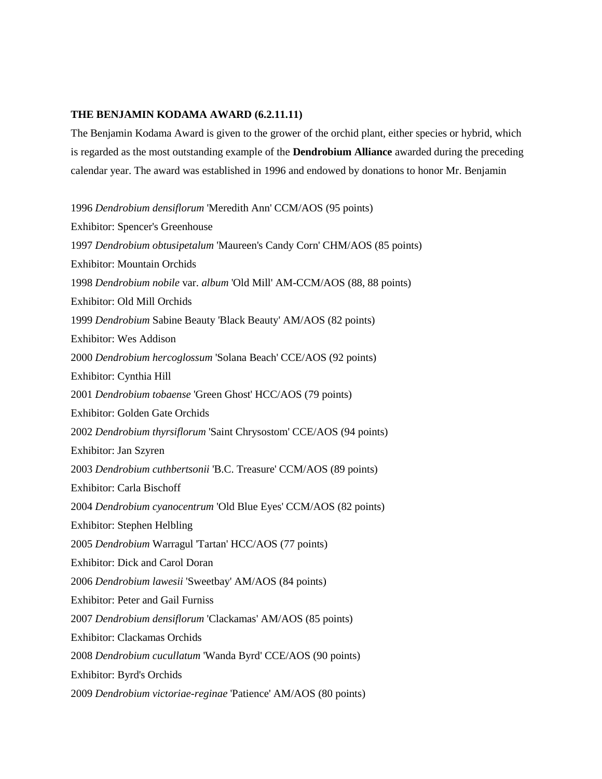#### **THE BENJAMIN KODAMA AWARD (6.2.11.11)**

The Benjamin Kodama Award is given to the grower of the orchid plant, either species or hybrid, which is regarded as the most outstanding example of the **Dendrobium Alliance** awarded during the preceding calendar year. The award was established in 1996 and endowed by donations to honor Mr. Benjamin

1996 *Dendrobium densiflorum* 'Meredith Ann' CCM/AOS (95 points) Exhibitor: Spencer's Greenhouse 1997 *Dendrobium obtusipetalum* 'Maureen's Candy Corn' CHM/AOS (85 points) Exhibitor: Mountain Orchids 1998 *Dendrobium nobile* var. *album* 'Old Mill' AM-CCM/AOS (88, 88 points) Exhibitor: Old Mill Orchids 1999 *Dendrobium* Sabine Beauty 'Black Beauty' AM/AOS (82 points) Exhibitor: Wes Addison 2000 *Dendrobium hercoglossum* 'Solana Beach' CCE/AOS (92 points) Exhibitor: Cynthia Hill 2001 *Dendrobium tobaense* 'Green Ghost' HCC/AOS (79 points) Exhibitor: Golden Gate Orchids 2002 *Dendrobium thyrsiflorum* 'Saint Chrysostom' CCE/AOS (94 points) Exhibitor: Jan Szyren 2003 *Dendrobium cuthbertsonii* 'B.C. Treasure' CCM/AOS (89 points) Exhibitor: Carla Bischoff 2004 *Dendrobium cyanocentrum* 'Old Blue Eyes' CCM/AOS (82 points) Exhibitor: Stephen Helbling 2005 *Dendrobium* Warragul 'Tartan' HCC/AOS (77 points) Exhibitor: Dick and Carol Doran 2006 *Dendrobium lawesii* 'Sweetbay' AM/AOS (84 points) Exhibitor: Peter and Gail Furniss 2007 *Dendrobium densiflorum* 'Clackamas' AM/AOS (85 points) Exhibitor: Clackamas Orchids 2008 *Dendrobium cucullatum* 'Wanda Byrd' CCE/AOS (90 points) Exhibitor: Byrd's Orchids 2009 *Dendrobium victoriae-reginae* 'Patience' AM/AOS (80 points)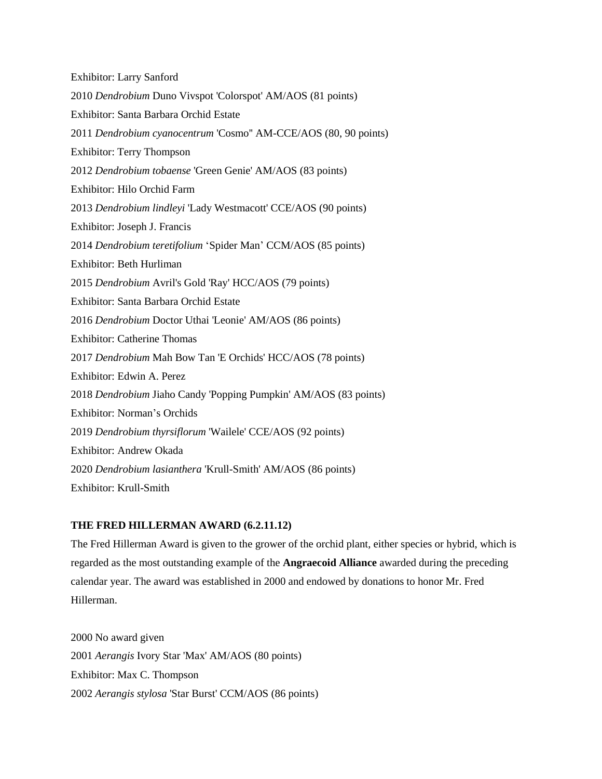Exhibitor: Larry Sanford 2010 *Dendrobium* Duno Vivspot 'Colorspot' AM/AOS (81 points) Exhibitor: Santa Barbara Orchid Estate 2011 *Dendrobium cyanocentrum* 'Cosmo'' AM-CCE/AOS (80, 90 points) Exhibitor: Terry Thompson 2012 *Dendrobium tobaense* 'Green Genie' AM/AOS (83 points) Exhibitor: Hilo Orchid Farm 2013 *Dendrobium lindleyi* 'Lady Westmacott' CCE/AOS (90 points) Exhibitor: Joseph J. Francis 2014 *Dendrobium teretifolium* 'Spider Man' CCM/AOS (85 points) Exhibitor: Beth Hurliman 2015 *Dendrobium* Avril's Gold 'Ray' HCC/AOS (79 points) Exhibitor: Santa Barbara Orchid Estate 2016 *Dendrobium* Doctor Uthai 'Leonie' AM/AOS (86 points) Exhibitor: Catherine Thomas 2017 *Dendrobium* Mah Bow Tan 'E Orchids' HCC/AOS (78 points) Exhibitor: Edwin A. Perez 2018 *Dendrobium* Jiaho Candy 'Popping Pumpkin' AM/AOS (83 points) Exhibitor: Norman's Orchids 2019 *Dendrobium thyrsiflorum* 'Wailele' CCE/AOS (92 points) Exhibitor: Andrew Okada 2020 *Dendrobium lasianthera* 'Krull-Smith' AM/AOS (86 points) Exhibitor: Krull-Smith

## **THE FRED HILLERMAN AWARD (6.2.11.12)**

The Fred Hillerman Award is given to the grower of the orchid plant, either species or hybrid, which is regarded as the most outstanding example of the **Angraecoid Alliance** awarded during the preceding calendar year. The award was established in 2000 and endowed by donations to honor Mr. Fred Hillerman.

2000 No award given 2001 *Aerangis* Ivory Star 'Max' AM/AOS (80 points) Exhibitor: Max C. Thompson 2002 *Aerangis stylosa* 'Star Burst' CCM/AOS (86 points)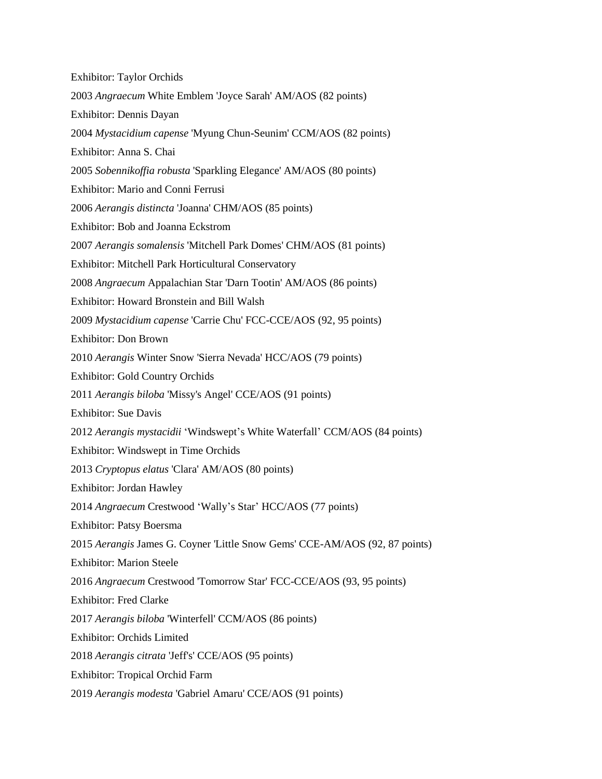| <b>Exhibitor: Taylor Orchids</b>                                            |
|-----------------------------------------------------------------------------|
| 2003 Angraecum White Emblem 'Joyce Sarah' AM/AOS (82 points)                |
| Exhibitor: Dennis Dayan                                                     |
| 2004 Mystacidium capense 'Myung Chun-Seunim' CCM/AOS (82 points)            |
| Exhibitor: Anna S. Chai                                                     |
| 2005 Sobennikoffia robusta 'Sparkling Elegance' AM/AOS (80 points)          |
| Exhibitor: Mario and Conni Ferrusi                                          |
| 2006 Aerangis distincta 'Joanna' CHM/AOS (85 points)                        |
| Exhibitor: Bob and Joanna Eckstrom                                          |
| 2007 Aerangis somalensis 'Mitchell Park Domes' CHM/AOS (81 points)          |
| Exhibitor: Mitchell Park Horticultural Conservatory                         |
| 2008 Angraecum Appalachian Star 'Darn Tootin' AM/AOS (86 points)            |
| Exhibitor: Howard Bronstein and Bill Walsh                                  |
| 2009 Mystacidium capense 'Carrie Chu' FCC-CCE/AOS (92, 95 points)           |
| <b>Exhibitor: Don Brown</b>                                                 |
| 2010 Aerangis Winter Snow 'Sierra Nevada' HCC/AOS (79 points)               |
| <b>Exhibitor: Gold Country Orchids</b>                                      |
| 2011 Aerangis biloba 'Missy's Angel' CCE/AOS (91 points)                    |
| <b>Exhibitor: Sue Davis</b>                                                 |
| 2012 Aerangis mystacidii 'Windswept's White Waterfall' CCM/AOS (84 points)  |
| Exhibitor: Windswept in Time Orchids                                        |
| 2013 Cryptopus elatus 'Clara' AM/AOS (80 points)                            |
| Exhibitor: Jordan Hawley                                                    |
| 2014 Angraecum Crestwood 'Wally's Star' HCC/AOS (77 points)                 |
| Exhibitor: Patsy Boersma                                                    |
| 2015 Aerangis James G. Coyner 'Little Snow Gems' CCE-AM/AOS (92, 87 points) |
| <b>Exhibitor: Marion Steele</b>                                             |
| 2016 Angraecum Crestwood 'Tomorrow Star' FCC-CCE/AOS (93, 95 points)        |
| <b>Exhibitor: Fred Clarke</b>                                               |
| 2017 Aerangis biloba 'Winterfell' CCM/AOS (86 points)                       |
| <b>Exhibitor: Orchids Limited</b>                                           |
| 2018 Aerangis citrata 'Jeff's' CCE/AOS (95 points)                          |
| <b>Exhibitor: Tropical Orchid Farm</b>                                      |
| 2019 Aerangis modesta 'Gabriel Amaru' CCE/AOS (91 points)                   |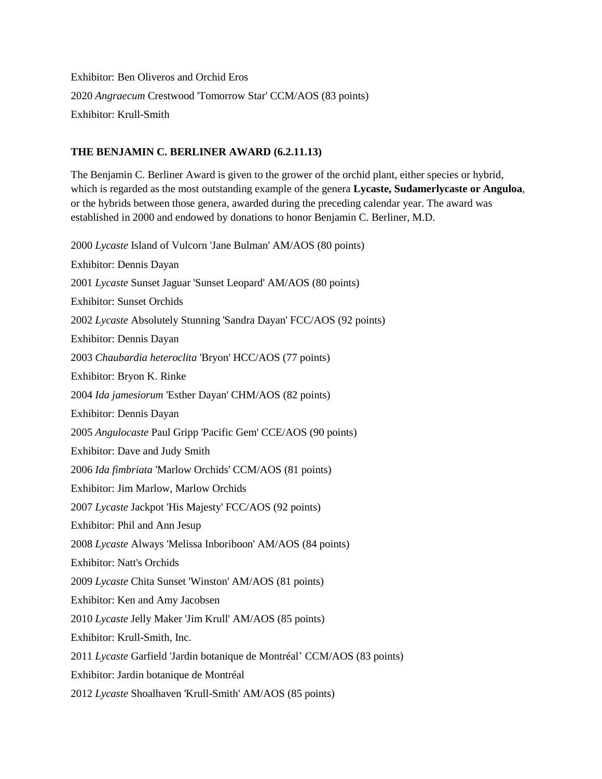Exhibitor: Ben Oliveros and Orchid Eros 2020 *Angraecum* Crestwood 'Tomorrow Star' CCM/AOS (83 points) Exhibitor: Krull-Smith

## **THE BENJAMIN C. BERLINER AWARD (6.2.11.13)**

The Benjamin C. Berliner Award is given to the grower of the orchid plant, either species or hybrid, which is regarded as the most outstanding example of the genera **Lycaste, Sudamerlycaste or Anguloa**, or the hybrids between those genera, awarded during the preceding calendar year. The award was established in 2000 and endowed by donations to honor Benjamin C. Berliner, M.D.

2000 *Lycaste* Island of Vulcorn 'Jane Bulman' AM/AOS (80 points) Exhibitor: Dennis Dayan 2001 *Lycaste* Sunset Jaguar 'Sunset Leopard' AM/AOS (80 points) Exhibitor: Sunset Orchids 2002 *Lycaste* Absolutely Stunning 'Sandra Dayan' FCC/AOS (92 points) Exhibitor: Dennis Dayan 2003 *Chaubardia heteroclita* 'Bryon' HCC/AOS (77 points) Exhibitor: Bryon K. Rinke 2004 *Ida jamesiorum* 'Esther Dayan' CHM/AOS (82 points) Exhibitor: Dennis Dayan 2005 *Angulocaste* Paul Gripp 'Pacific Gem' CCE/AOS (90 points) Exhibitor: Dave and Judy Smith 2006 *Ida fimbriata* 'Marlow Orchids' CCM/AOS (81 points) Exhibitor: Jim Marlow, Marlow Orchids 2007 *Lycaste* Jackpot 'His Majesty' FCC/AOS (92 points) Exhibitor: Phil and Ann Jesup 2008 *Lycaste* Always 'Melissa Inboriboon' AM/AOS (84 points) Exhibitor: Natt's Orchids 2009 *Lycaste* Chita Sunset 'Winston' AM/AOS (81 points) Exhibitor: Ken and Amy Jacobsen 2010 *Lycaste* Jelly Maker 'Jim Krull' AM/AOS (85 points) Exhibitor: Krull-Smith, Inc. 2011 *Lycaste* Garfield 'Jardin botanique de Montréal' CCM/AOS (83 points) Exhibitor: Jardin botanique de Montréal 2012 *Lycaste* Shoalhaven 'Krull-Smith' AM/AOS (85 points)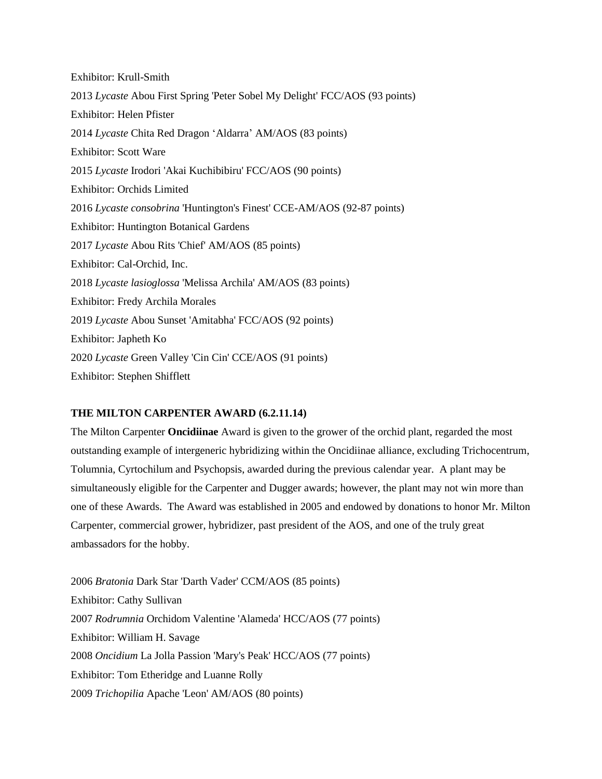Exhibitor: Krull-Smith 2013 *Lycaste* Abou First Spring 'Peter Sobel My Delight' FCC/AOS (93 points) Exhibitor: Helen Pfister 2014 *Lycaste* Chita Red Dragon 'Aldarra' AM/AOS (83 points) Exhibitor: Scott Ware 2015 *Lycaste* Irodori 'Akai Kuchibibiru' FCC/AOS (90 points) Exhibitor: Orchids Limited 2016 *Lycaste consobrina* 'Huntington's Finest' CCE-AM/AOS (92-87 points) Exhibitor: Huntington Botanical Gardens 2017 *Lycaste* Abou Rits 'Chief' AM/AOS (85 points) Exhibitor: Cal-Orchid, Inc. 2018 *Lycaste lasioglossa* 'Melissa Archila' AM/AOS (83 points) Exhibitor: Fredy Archila Morales 2019 *Lycaste* Abou Sunset 'Amitabha' FCC/AOS (92 points) Exhibitor: Japheth Ko 2020 *Lycaste* Green Valley 'Cin Cin' CCE/AOS (91 points) Exhibitor: Stephen Shifflett

## **THE MILTON CARPENTER AWARD (6.2.11.14)**

The Milton Carpenter **Oncidiinae** Award is given to the grower of the orchid plant, regarded the most outstanding example of intergeneric hybridizing within the Oncidiinae alliance, excluding Trichocentrum, Tolumnia, Cyrtochilum and Psychopsis, awarded during the previous calendar year. A plant may be simultaneously eligible for the Carpenter and Dugger awards; however, the plant may not win more than one of these Awards. The Award was established in 2005 and endowed by donations to honor Mr. Milton Carpenter, commercial grower, hybridizer, past president of the AOS, and one of the truly great ambassadors for the hobby.

2006 *Bratonia* Dark Star 'Darth Vader' CCM/AOS (85 points) Exhibitor: Cathy Sullivan 2007 *Rodrumnia* Orchidom Valentine 'Alameda' HCC/AOS (77 points) Exhibitor: William H. Savage 2008 *Oncidium* La Jolla Passion 'Mary's Peak' HCC/AOS (77 points) Exhibitor: Tom Etheridge and Luanne Rolly 2009 *Trichopilia* Apache 'Leon' AM/AOS (80 points)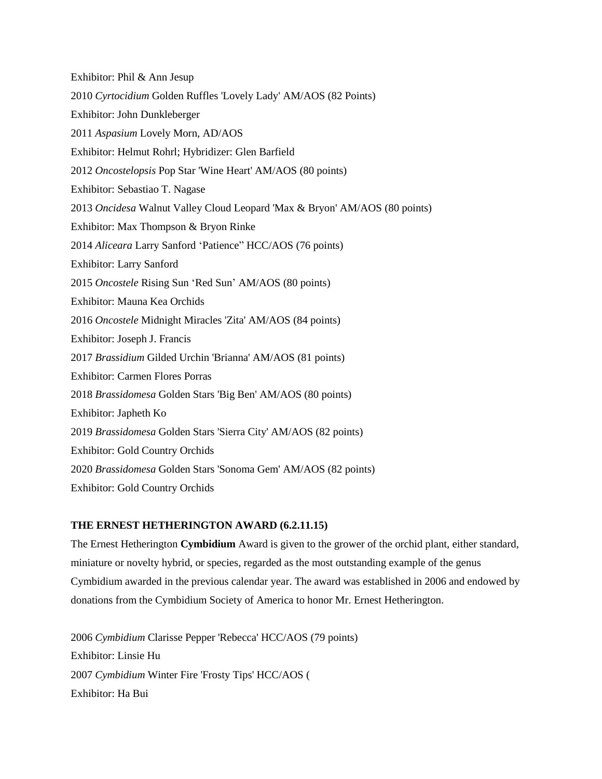Exhibitor: Phil & Ann Jesup 2010 *Cyrtocidium* Golden Ruffles 'Lovely Lady' AM/AOS (82 Points) Exhibitor: John Dunkleberger 2011 *Aspasium* Lovely Morn, AD/AOS Exhibitor: Helmut Rohrl; Hybridizer: Glen Barfield 2012 *Oncostelopsis* Pop Star 'Wine Heart' AM/AOS (80 points) Exhibitor: Sebastiao T. Nagase 2013 *Oncidesa* Walnut Valley Cloud Leopard 'Max & Bryon' AM/AOS (80 points) Exhibitor: Max Thompson & Bryon Rinke 2014 *Aliceara* Larry Sanford 'Patience" HCC/AOS (76 points) Exhibitor: Larry Sanford 2015 *Oncostele* Rising Sun 'Red Sun' AM/AOS (80 points) Exhibitor: Mauna Kea Orchids 2016 *Oncostele* Midnight Miracles 'Zita' AM/AOS (84 points) Exhibitor: Joseph J. Francis 2017 *Brassidium* Gilded Urchin 'Brianna' AM/AOS (81 points) Exhibitor: Carmen Flores Porras 2018 *Brassidomesa* Golden Stars 'Big Ben' AM/AOS (80 points) Exhibitor: Japheth Ko 2019 *Brassidomesa* Golden Stars 'Sierra City' AM/AOS (82 points) Exhibitor: Gold Country Orchids 2020 *Brassidomesa* Golden Stars 'Sonoma Gem' AM/AOS (82 points) Exhibitor: Gold Country Orchids

## **THE ERNEST HETHERINGTON AWARD (6.2.11.15)**

The Ernest Hetherington **Cymbidium** Award is given to the grower of the orchid plant, either standard, miniature or novelty hybrid, or species, regarded as the most outstanding example of the genus Cymbidium awarded in the previous calendar year. The award was established in 2006 and endowed by donations from the Cymbidium Society of America to honor Mr. Ernest Hetherington.

2006 *Cymbidium* Clarisse Pepper 'Rebecca' HCC/AOS (79 points) Exhibitor: Linsie Hu 2007 *Cymbidium* Winter Fire 'Frosty Tips' HCC/AOS ( Exhibitor: Ha Bui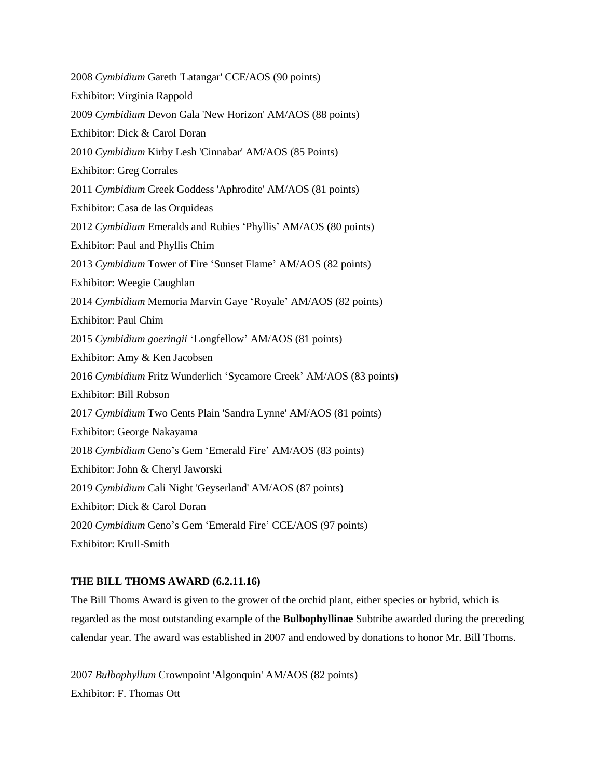2008 *Cymbidium* Gareth 'Latangar' CCE/AOS (90 points) Exhibitor: Virginia Rappold 2009 *Cymbidium* Devon Gala 'New Horizon' AM/AOS (88 points) Exhibitor: Dick & Carol Doran 2010 *Cymbidium* Kirby Lesh 'Cinnabar' AM/AOS (85 Points) Exhibitor: Greg Corrales 2011 *Cymbidium* Greek Goddess 'Aphrodite' AM/AOS (81 points) Exhibitor: Casa de las Orquideas 2012 *Cymbidium* Emeralds and Rubies 'Phyllis' AM/AOS (80 points) Exhibitor: Paul and Phyllis Chim 2013 *Cymbidium* Tower of Fire 'Sunset Flame' AM/AOS (82 points) Exhibitor: Weegie Caughlan 2014 *Cymbidium* Memoria Marvin Gaye 'Royale' AM/AOS (82 points) Exhibitor: Paul Chim 2015 *Cymbidium goeringii* 'Longfellow' AM/AOS (81 points) Exhibitor: Amy & Ken Jacobsen 2016 *Cymbidium* Fritz Wunderlich 'Sycamore Creek' AM/AOS (83 points) Exhibitor: Bill Robson 2017 *Cymbidium* Two Cents Plain 'Sandra Lynne' AM/AOS (81 points) Exhibitor: George Nakayama 2018 *Cymbidium* Geno's Gem 'Emerald Fire' AM/AOS (83 points) Exhibitor: John & Cheryl Jaworski 2019 *Cymbidium* Cali Night 'Geyserland' AM/AOS (87 points) Exhibitor: Dick & Carol Doran 2020 *Cymbidium* Geno's Gem 'Emerald Fire' CCE/AOS (97 points) Exhibitor: Krull-Smith

## **THE BILL THOMS AWARD (6.2.11.16)**

The Bill Thoms Award is given to the grower of the orchid plant, either species or hybrid, which is regarded as the most outstanding example of the **Bulbophyllinae** Subtribe awarded during the preceding calendar year. The award was established in 2007 and endowed by donations to honor Mr. Bill Thoms.

2007 *Bulbophyllum* Crownpoint 'Algonquin' AM/AOS (82 points) Exhibitor: F. Thomas Ott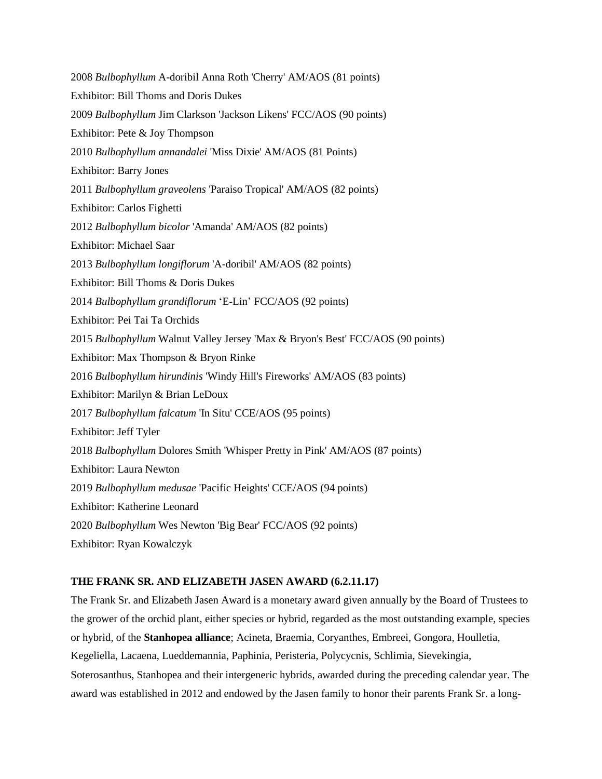2008 *Bulbophyllum* A-doribil Anna Roth 'Cherry' AM/AOS (81 points) Exhibitor: Bill Thoms and Doris Dukes 2009 *Bulbophyllum* Jim Clarkson 'Jackson Likens' FCC/AOS (90 points) Exhibitor: Pete & Joy Thompson 2010 *Bulbophyllum annandalei* 'Miss Dixie' AM/AOS (81 Points) Exhibitor: Barry Jones 2011 *Bulbophyllum graveolens* 'Paraiso Tropical' AM/AOS (82 points) Exhibitor: Carlos Fighetti 2012 *Bulbophyllum bicolor* 'Amanda' AM/AOS (82 points) Exhibitor: Michael Saar 2013 *Bulbophyllum longiflorum* 'A-doribil' AM/AOS (82 points) Exhibitor: Bill Thoms & Doris Dukes 2014 *Bulbophyllum grandiflorum* 'E-Lin' FCC/AOS (92 points) Exhibitor: Pei Tai Ta Orchids 2015 *Bulbophyllum* Walnut Valley Jersey 'Max & Bryon's Best' FCC/AOS (90 points) Exhibitor: Max Thompson & Bryon Rinke 2016 *Bulbophyllum hirundinis* 'Windy Hill's Fireworks' AM/AOS (83 points) Exhibitor: Marilyn & Brian LeDoux 2017 *Bulbophyllum falcatum* 'In Situ' CCE/AOS (95 points) Exhibitor: Jeff Tyler 2018 *Bulbophyllum* Dolores Smith 'Whisper Pretty in Pink' AM/AOS (87 points) Exhibitor: Laura Newton 2019 *Bulbophyllum medusae* 'Pacific Heights' CCE/AOS (94 points) Exhibitor: Katherine Leonard 2020 *Bulbophyllum* Wes Newton 'Big Bear' FCC/AOS (92 points) Exhibitor: Ryan Kowalczyk

## **THE FRANK SR. AND ELIZABETH JASEN AWARD (6.2.11.17)**

The Frank Sr. and Elizabeth Jasen Award is a monetary award given annually by the Board of Trustees to the grower of the orchid plant, either species or hybrid, regarded as the most outstanding example, species or hybrid, of the **Stanhopea alliance**; Acineta, Braemia, Coryanthes, Embreei, Gongora, Houlletia, Kegeliella, Lacaena, Lueddemannia, Paphinia, Peristeria, Polycycnis, Schlimia, Sievekingia, Soterosanthus, Stanhopea and their intergeneric hybrids, awarded during the preceding calendar year. The award was established in 2012 and endowed by the Jasen family to honor their parents Frank Sr. a long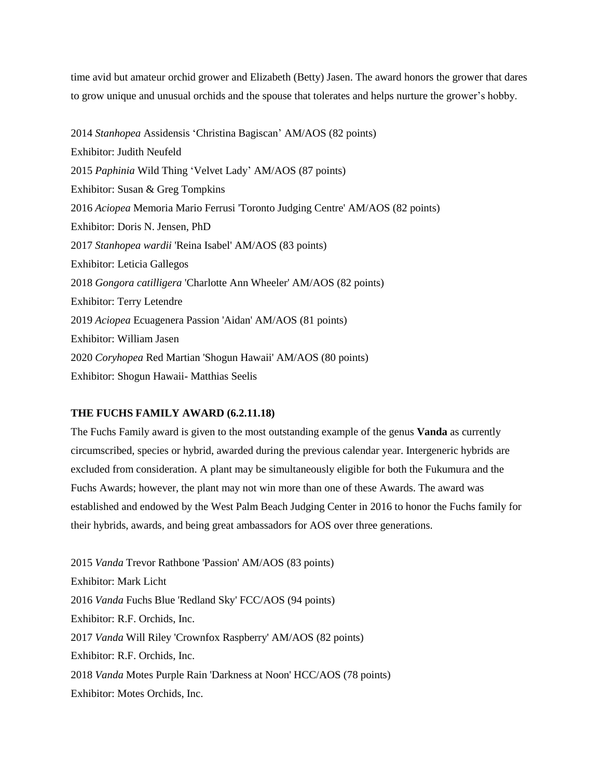time avid but amateur orchid grower and Elizabeth (Betty) Jasen. The award honors the grower that dares to grow unique and unusual orchids and the spouse that tolerates and helps nurture the grower's hobby.

2014 *Stanhopea* Assidensis 'Christina Bagiscan' AM/AOS (82 points) Exhibitor: Judith Neufeld 2015 *Paphinia* Wild Thing 'Velvet Lady' AM/AOS (87 points) Exhibitor: Susan & Greg Tompkins 2016 *Aciopea* Memoria Mario Ferrusi 'Toronto Judging Centre' AM/AOS (82 points) Exhibitor: Doris N. Jensen, PhD 2017 *Stanhopea wardii* 'Reina Isabel' AM/AOS (83 points) Exhibitor: Leticia Gallegos 2018 *Gongora catilligera* 'Charlotte Ann Wheeler' AM/AOS (82 points) Exhibitor: Terry Letendre 2019 *Aciopea* Ecuagenera Passion 'Aidan' AM/AOS (81 points) Exhibitor: William Jasen 2020 *Coryhopea* Red Martian 'Shogun Hawaii' AM/AOS (80 points) Exhibitor: Shogun Hawaii- Matthias Seelis

#### **THE FUCHS FAMILY AWARD (6.2.11.18)**

The Fuchs Family award is given to the most outstanding example of the genus **Vanda** as currently circumscribed, species or hybrid, awarded during the previous calendar year. Intergeneric hybrids are excluded from consideration. A plant may be simultaneously eligible for both the Fukumura and the Fuchs Awards; however, the plant may not win more than one of these Awards. The award was established and endowed by the West Palm Beach Judging Center in 2016 to honor the Fuchs family for their hybrids, awards, and being great ambassadors for AOS over three generations.

2015 *Vanda* Trevor Rathbone 'Passion' AM/AOS (83 points) Exhibitor: Mark Licht 2016 *Vanda* Fuchs Blue 'Redland Sky' FCC/AOS (94 points) Exhibitor: R.F. Orchids, Inc. 2017 *Vanda* Will Riley 'Crownfox Raspberry' AM/AOS (82 points) Exhibitor: R.F. Orchids, Inc. 2018 *Vanda* Motes Purple Rain 'Darkness at Noon' HCC/AOS (78 points) Exhibitor: Motes Orchids, Inc.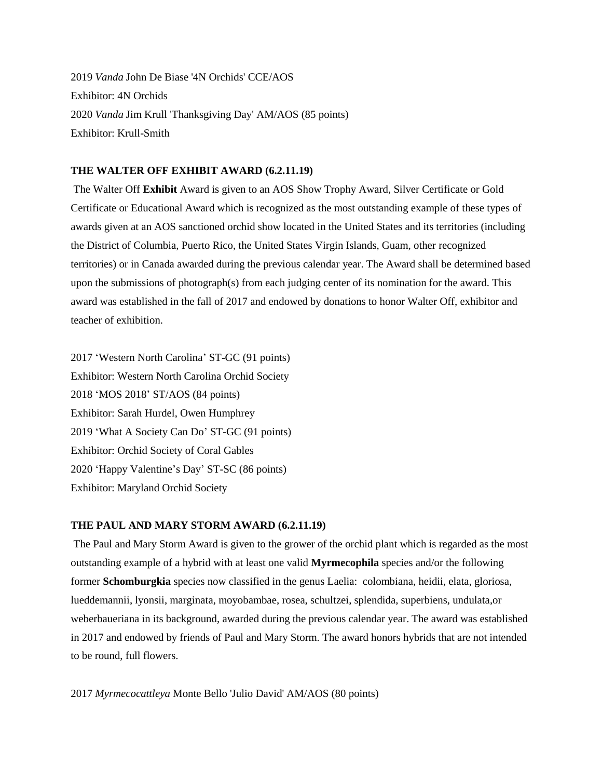2019 *Vanda* John De Biase '4N Orchids' CCE/AOS Exhibitor: 4N Orchids 2020 *Vanda* Jim Krull 'Thanksgiving Day' AM/AOS (85 points) Exhibitor: Krull-Smith

#### **THE WALTER OFF EXHIBIT AWARD (6.2.11.19)**

The Walter Off **Exhibit** Award is given to an AOS Show Trophy Award, Silver Certificate or Gold Certificate or Educational Award which is recognized as the most outstanding example of these types of awards given at an AOS sanctioned orchid show located in the United States and its territories (including the District of Columbia, Puerto Rico, the United States Virgin Islands, Guam, other recognized territories) or in Canada awarded during the previous calendar year. The Award shall be determined based upon the submissions of photograph(s) from each judging center of its nomination for the award. This award was established in the fall of 2017 and endowed by donations to honor Walter Off, exhibitor and teacher of exhibition.

2017 'Western North Carolina' ST-GC (91 points) Exhibitor: Western North Carolina Orchid Society 2018 'MOS 2018' ST/AOS (84 points) Exhibitor: Sarah Hurdel, Owen Humphrey 2019 'What A Society Can Do' ST-GC (91 points) Exhibitor: Orchid Society of Coral Gables 2020 'Happy Valentine's Day' ST-SC (86 points) Exhibitor: Maryland Orchid Society

#### **THE PAUL AND MARY STORM AWARD (6.2.11.19)**

The Paul and Mary Storm Award is given to the grower of the orchid plant which is regarded as the most outstanding example of a hybrid with at least one valid **Myrmecophila** species and/or the following former **Schomburgkia** species now classified in the genus Laelia: colombiana, heidii, elata, gloriosa, lueddemannii, lyonsii, marginata, moyobambae, rosea, schultzei, splendida, superbiens, undulata,or weberbaueriana in its background, awarded during the previous calendar year. The award was established in 2017 and endowed by friends of Paul and Mary Storm. The award honors hybrids that are not intended to be round, full flowers.

2017 *Myrmecocattleya* Monte Bello 'Julio David' AM/AOS (80 points)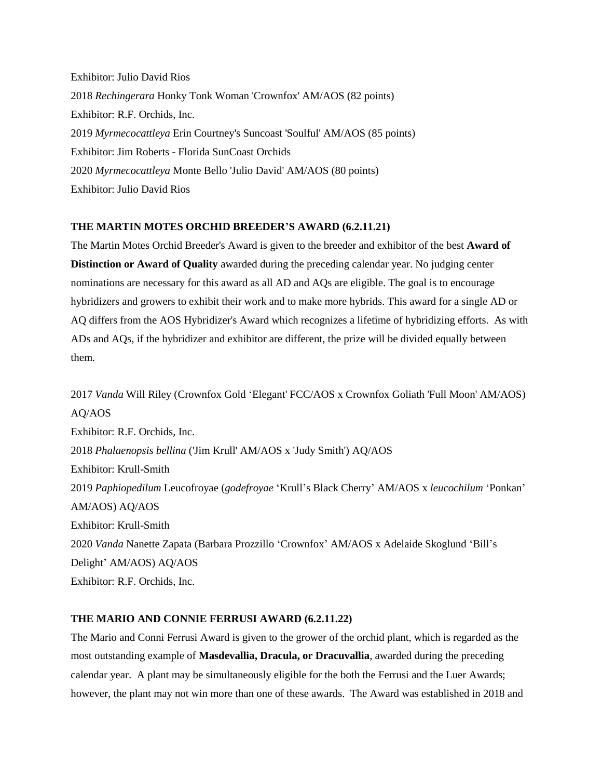Exhibitor: Julio David Rios 2018 *Rechingerara* Honky Tonk Woman 'Crownfox' AM/AOS (82 points) Exhibitor: R.F. Orchids, Inc. 2019 *Myrmecocattleya* Erin Courtney's Suncoast 'Soulful' AM/AOS (85 points) Exhibitor: Jim Roberts - Florida SunCoast Orchids 2020 *Myrmecocattleya* Monte Bello 'Julio David' AM/AOS (80 points) Exhibitor: Julio David Rios

## **THE MARTIN MOTES ORCHID BREEDER'S AWARD (6.2.11.21)**

The Martin Motes Orchid Breeder's Award is given to the breeder and exhibitor of the best **Award of Distinction or Award of Quality** awarded during the preceding calendar year. No judging center nominations are necessary for this award as all AD and AQs are eligible. The goal is to encourage hybridizers and growers to exhibit their work and to make more hybrids. This award for a single AD or AQ differs from the AOS Hybridizer's Award which recognizes a lifetime of hybridizing efforts. As with ADs and AQs, if the hybridizer and exhibitor are different, the prize will be divided equally between them.

2017 *Vanda* Will Riley (Crownfox Gold 'Elegant' FCC/AOS x Crownfox Goliath 'Full Moon' AM/AOS) AQ/AOS Exhibitor: R.F. Orchids, Inc. 2018 *Phalaenopsis bellina* ('Jim Krull' AM/AOS x 'Judy Smith') AQ/AOS Exhibitor: Krull-Smith 2019 *Paphiopedilum* Leucofroyae (*godefroyae* 'Krull's Black Cherry' AM/AOS x *leucochilum* 'Ponkan' AM/AOS) AQ/AOS Exhibitor: Krull-Smith 2020 *Vanda* Nanette Zapata (Barbara Prozzillo 'Crownfox' AM/AOS x Adelaide Skoglund 'Bill's Delight' AM/AOS) AQ/AOS Exhibitor: R.F. Orchids, Inc.

## **THE MARIO AND CONNIE FERRUSI AWARD (6.2.11.22)**

The Mario and Conni Ferrusi Award is given to the grower of the orchid plant, which is regarded as the most outstanding example of **Masdevallia, Dracula, or Dracuvallia**, awarded during the preceding calendar year. A plant may be simultaneously eligible for the both the Ferrusi and the Luer Awards; however, the plant may not win more than one of these awards. The Award was established in 2018 and